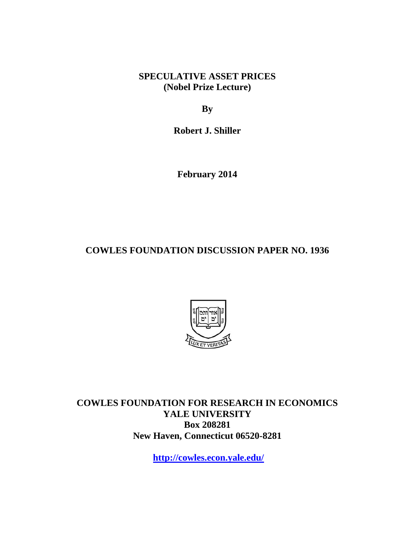**SPECULATIVE ASSET PRICES (Nobel Prize Lecture)** 

**By** 

**Robert J. Shiller** 

**February 2014** 

**COWLES FOUNDATION DISCUSSION PAPER NO. 1936** 



**COWLES FOUNDATION FOR RESEARCH IN ECONOMICS YALE UNIVERSITY Box 208281 New Haven, Connecticut 06520-8281** 

**http://cowles.econ.yale.edu/**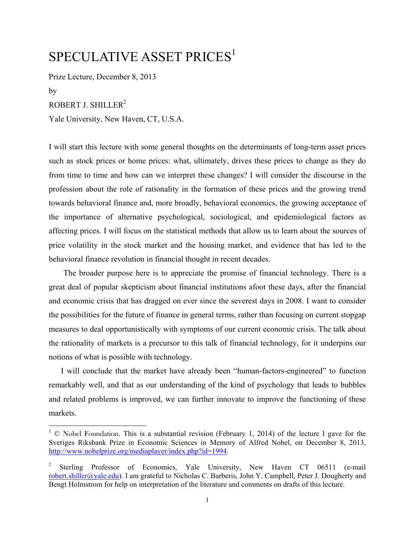# SPECULATIVE ASSET PRICES<sup>1</sup>

Prize Lecture, December 8, 2013 by ROBERT J. SHILLER<sup>2</sup> Yale University, New Haven, CT, U.S.A.

 $\overline{a}$ 

I will start this lecture with some general thoughts on the determinants of long-term asset prices such as stock prices or home prices: what, ultimately, drives these prices to change as they do from time to time and how can we interpret these changes? I will consider the discourse in the profession about the role of rationality in the formation of these prices and the growing trend towards behavioral finance and, more broadly, behavioral economics, the growing acceptance of the importance of alternative psychological, sociological, and epidemiological factors as affecting prices. I will focus on the statistical methods that allow us to learn about the sources of price volatility in the stock market and the housing market, and evidence that has led to the behavioral finance revolution in financial thought in recent decades.

The broader purpose here is to appreciate the promise of financial technology. There is a great deal of popular skepticism about financial institutions afoot these days, after the financial and economic crisis that has dragged on ever since the severest days in 2008. I want to consider the possibilities for the future of finance in general terms, rather than focusing on current stopgap measures to deal opportunistically with symptoms of our current economic crisis. The talk about the rationality of markets is a precursor to this talk of financial technology, for it underpins our notions of what is possible with technology.

I will conclude that the market have already been "human-factors-engineered" to function remarkably well, and that as our understanding of the kind of psychology that leads to bubbles and related problems is improved, we can further innovate to improve the functioning of these markets.

 $1 \oplus$  Nobel Foundation. This is a substantial revision (February 1, 2014) of the lecture I gave for the Sveriges Riksbank Prize in Economic Sciences in Memory of Alfred Nobel, on December 8, 2013, http://www.nobelprize.org/mediaplayer/index.php?id=1994.

<sup>2</sup> Sterling Professor of Economics, Yale University, New Haven CT 06511 (e-mail robert.shiller@yale.edu). I am grateful to Nicholas C. Barberis, John Y. Campbell, Peter J. Dougherty and Bengt Holmstrom for help on interpretation of the literature and comments on drafts of this lecture.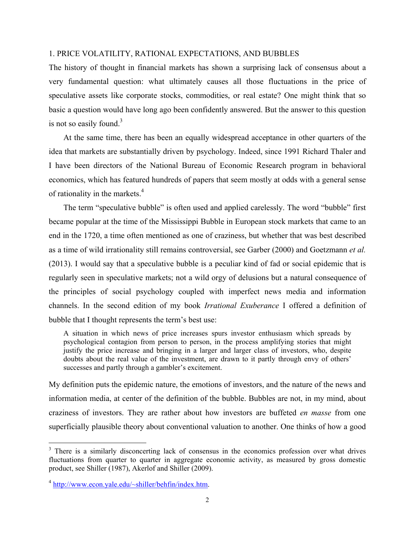### 1. PRICE VOLATILITY, RATIONAL EXPECTATIONS, AND BUBBLES

The history of thought in financial markets has shown a surprising lack of consensus about a very fundamental question: what ultimately causes all those fluctuations in the price of speculative assets like corporate stocks, commodities, or real estate? One might think that so basic a question would have long ago been confidently answered. But the answer to this question is not so easily found. $3$ 

At the same time, there has been an equally widespread acceptance in other quarters of the idea that markets are substantially driven by psychology. Indeed, since 1991 Richard Thaler and I have been directors of the National Bureau of Economic Research program in behavioral economics, which has featured hundreds of papers that seem mostly at odds with a general sense of rationality in the markets.4

The term "speculative bubble" is often used and applied carelessly. The word "bubble" first became popular at the time of the Mississippi Bubble in European stock markets that came to an end in the 1720, a time often mentioned as one of craziness, but whether that was best described as a time of wild irrationality still remains controversial, see Garber (2000) and Goetzmann *et al.*  (2013). I would say that a speculative bubble is a peculiar kind of fad or social epidemic that is regularly seen in speculative markets; not a wild orgy of delusions but a natural consequence of the principles of social psychology coupled with imperfect news media and information channels. In the second edition of my book *Irrational Exuberance* I offered a definition of bubble that I thought represents the term's best use:

A situation in which news of price increases spurs investor enthusiasm which spreads by psychological contagion from person to person, in the process amplifying stories that might justify the price increase and bringing in a larger and larger class of investors, who, despite doubts about the real value of the investment, are drawn to it partly through envy of others' successes and partly through a gambler's excitement.

My definition puts the epidemic nature, the emotions of investors, and the nature of the news and information media, at center of the definition of the bubble. Bubbles are not, in my mind, about craziness of investors. They are rather about how investors are buffeted *en masse* from one superficially plausible theory about conventional valuation to another. One thinks of how a good

<sup>&</sup>lt;sup>3</sup> There is a similarly disconcerting lack of consensus in the economics profession over what drives fluctuations from quarter to quarter in aggregate economic activity, as measured by gross domestic product, see Shiller (1987), Akerlof and Shiller (2009).

<sup>4</sup> http://www.econ.yale.edu/~shiller/behfin/index.htm.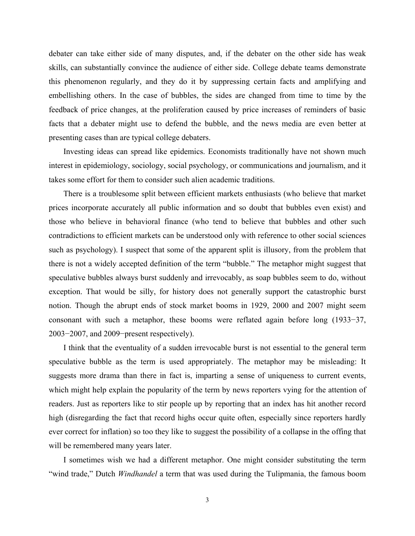debater can take either side of many disputes, and, if the debater on the other side has weak skills, can substantially convince the audience of either side. College debate teams demonstrate this phenomenon regularly, and they do it by suppressing certain facts and amplifying and embellishing others. In the case of bubbles, the sides are changed from time to time by the feedback of price changes, at the proliferation caused by price increases of reminders of basic facts that a debater might use to defend the bubble, and the news media are even better at presenting cases than are typical college debaters.

Investing ideas can spread like epidemics. Economists traditionally have not shown much interest in epidemiology, sociology, social psychology, or communications and journalism, and it takes some effort for them to consider such alien academic traditions.

There is a troublesome split between efficient markets enthusiasts (who believe that market prices incorporate accurately all public information and so doubt that bubbles even exist) and those who believe in behavioral finance (who tend to believe that bubbles and other such contradictions to efficient markets can be understood only with reference to other social sciences such as psychology). I suspect that some of the apparent split is illusory, from the problem that there is not a widely accepted definition of the term "bubble." The metaphor might suggest that speculative bubbles always burst suddenly and irrevocably, as soap bubbles seem to do, without exception. That would be silly, for history does not generally support the catastrophic burst notion. Though the abrupt ends of stock market booms in 1929, 2000 and 2007 might seem consonant with such a metaphor, these booms were reflated again before long (1933−37, 2003−2007, and 2009−present respectively).

I think that the eventuality of a sudden irrevocable burst is not essential to the general term speculative bubble as the term is used appropriately. The metaphor may be misleading: It suggests more drama than there in fact is, imparting a sense of uniqueness to current events, which might help explain the popularity of the term by news reporters vying for the attention of readers. Just as reporters like to stir people up by reporting that an index has hit another record high (disregarding the fact that record highs occur quite often, especially since reporters hardly ever correct for inflation) so too they like to suggest the possibility of a collapse in the offing that will be remembered many years later.

I sometimes wish we had a different metaphor. One might consider substituting the term "wind trade," Dutch *Windhandel* a term that was used during the Tulipmania, the famous boom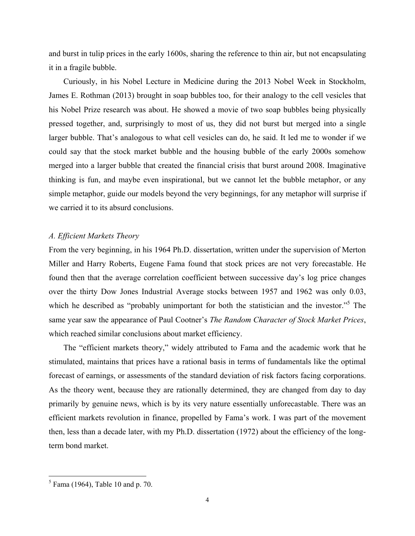and burst in tulip prices in the early 1600s, sharing the reference to thin air, but not encapsulating it in a fragile bubble.

Curiously, in his Nobel Lecture in Medicine during the 2013 Nobel Week in Stockholm, James E. Rothman (2013) brought in soap bubbles too, for their analogy to the cell vesicles that his Nobel Prize research was about. He showed a movie of two soap bubbles being physically pressed together, and, surprisingly to most of us, they did not burst but merged into a single larger bubble. That's analogous to what cell vesicles can do, he said. It led me to wonder if we could say that the stock market bubble and the housing bubble of the early 2000s somehow merged into a larger bubble that created the financial crisis that burst around 2008. Imaginative thinking is fun, and maybe even inspirational, but we cannot let the bubble metaphor, or any simple metaphor, guide our models beyond the very beginnings, for any metaphor will surprise if we carried it to its absurd conclusions.

## *A. Efficient Markets Theory*

From the very beginning, in his 1964 Ph.D. dissertation, written under the supervision of Merton Miller and Harry Roberts, Eugene Fama found that stock prices are not very forecastable. He found then that the average correlation coefficient between successive day's log price changes over the thirty Dow Jones Industrial Average stocks between 1957 and 1962 was only 0.03, which he described as "probably unimportant for both the statistician and the investor."<sup>5</sup> The same year saw the appearance of Paul Cootner's *The Random Character of Stock Market Prices*, which reached similar conclusions about market efficiency.

The "efficient markets theory," widely attributed to Fama and the academic work that he stimulated, maintains that prices have a rational basis in terms of fundamentals like the optimal forecast of earnings, or assessments of the standard deviation of risk factors facing corporations. As the theory went, because they are rationally determined, they are changed from day to day primarily by genuine news, which is by its very nature essentially unforecastable. There was an efficient markets revolution in finance, propelled by Fama's work. I was part of the movement then, less than a decade later, with my Ph.D. dissertation (1972) about the efficiency of the longterm bond market.

<u>.</u>

 $<sup>5</sup>$  Fama (1964), Table 10 and p. 70.</sup>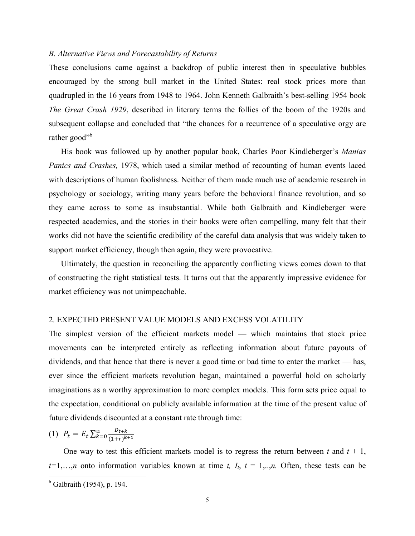## *B. Alternative Views and Forecastability of Returns*

These conclusions came against a backdrop of public interest then in speculative bubbles encouraged by the strong bull market in the United States: real stock prices more than quadrupled in the 16 years from 1948 to 1964. John Kenneth Galbraith's best-selling 1954 book *The Great Crash 1929*, described in literary terms the follies of the boom of the 1920s and subsequent collapse and concluded that "the chances for a recurrence of a speculative orgy are rather good"<sup>6</sup>

His book was followed up by another popular book, Charles Poor Kindleberger's *Manias Panics and Crashes,* 1978, which used a similar method of recounting of human events laced with descriptions of human foolishness. Neither of them made much use of academic research in psychology or sociology, writing many years before the behavioral finance revolution, and so they came across to some as insubstantial. While both Galbraith and Kindleberger were respected academics, and the stories in their books were often compelling, many felt that their works did not have the scientific credibility of the careful data analysis that was widely taken to support market efficiency, though then again, they were provocative.

Ultimately, the question in reconciling the apparently conflicting views comes down to that of constructing the right statistical tests. It turns out that the apparently impressive evidence for market efficiency was not unimpeachable.

#### 2. EXPECTED PRESENT VALUE MODELS AND EXCESS VOLATILITY

The simplest version of the efficient markets model — which maintains that stock price movements can be interpreted entirely as reflecting information about future payouts of dividends, and that hence that there is never a good time or bad time to enter the market — has, ever since the efficient markets revolution began, maintained a powerful hold on scholarly imaginations as a worthy approximation to more complex models. This form sets price equal to the expectation, conditional on publicly available information at the time of the present value of future dividends discounted at a constant rate through time:

(1) 
$$
P_t = E_t \sum_{k=0}^{\infty} \frac{b_{t+k}}{(1+r)^{k+1}}
$$

One way to test this efficient markets model is to regress the return between  $t$  and  $t + 1$ ,  $t=1,...,n$  onto information variables known at time *t*,  $I_t$ ,  $t = 1,...,n$ . Often, these tests can be

 6 Galbraith (1954), p. 194.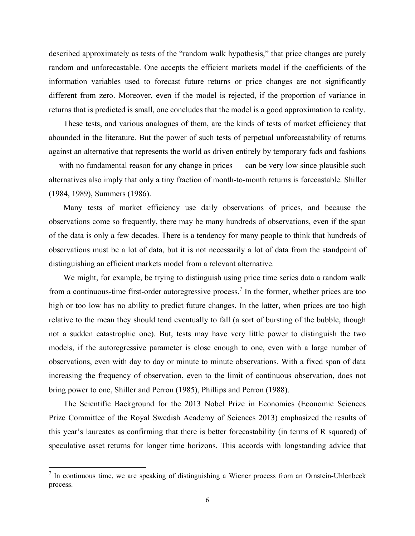described approximately as tests of the "random walk hypothesis," that price changes are purely random and unforecastable. One accepts the efficient markets model if the coefficients of the information variables used to forecast future returns or price changes are not significantly different from zero. Moreover, even if the model is rejected, if the proportion of variance in returns that is predicted is small, one concludes that the model is a good approximation to reality.

These tests, and various analogues of them, are the kinds of tests of market efficiency that abounded in the literature. But the power of such tests of perpetual unforecastability of returns against an alternative that represents the world as driven entirely by temporary fads and fashions — with no fundamental reason for any change in prices — can be very low since plausible such alternatives also imply that only a tiny fraction of month-to-month returns is forecastable. Shiller (1984, 1989), Summers (1986).

Many tests of market efficiency use daily observations of prices, and because the observations come so frequently, there may be many hundreds of observations, even if the span of the data is only a few decades. There is a tendency for many people to think that hundreds of observations must be a lot of data, but it is not necessarily a lot of data from the standpoint of distinguishing an efficient markets model from a relevant alternative.

We might, for example, be trying to distinguish using price time series data a random walk from a continuous-time first-order autoregressive process.<sup>7</sup> In the former, whether prices are too high or too low has no ability to predict future changes. In the latter, when prices are too high relative to the mean they should tend eventually to fall (a sort of bursting of the bubble, though not a sudden catastrophic one). But, tests may have very little power to distinguish the two models, if the autoregressive parameter is close enough to one, even with a large number of observations, even with day to day or minute to minute observations. With a fixed span of data increasing the frequency of observation, even to the limit of continuous observation, does not bring power to one, Shiller and Perron (1985), Phillips and Perron (1988).

The Scientific Background for the 2013 Nobel Prize in Economics (Economic Sciences Prize Committee of the Royal Swedish Academy of Sciences 2013) emphasized the results of this year's laureates as confirming that there is better forecastability (in terms of R squared) of speculative asset returns for longer time horizons. This accords with longstanding advice that

<sup>&</sup>lt;sup>7</sup> In continuous time, we are speaking of distinguishing a Wiener process from an Ornstein-Uhlenbeck process.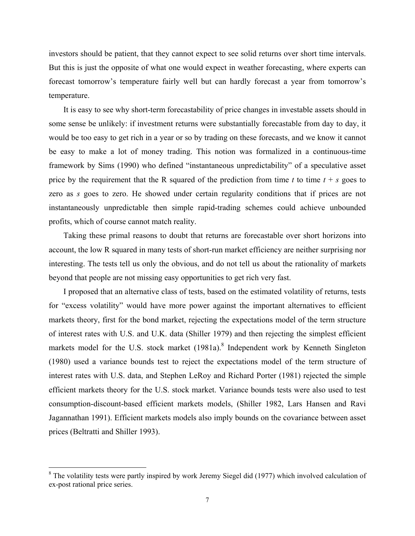investors should be patient, that they cannot expect to see solid returns over short time intervals. But this is just the opposite of what one would expect in weather forecasting, where experts can forecast tomorrow's temperature fairly well but can hardly forecast a year from tomorrow's temperature.

It is easy to see why short-term forecastability of price changes in investable assets should in some sense be unlikely: if investment returns were substantially forecastable from day to day, it would be too easy to get rich in a year or so by trading on these forecasts, and we know it cannot be easy to make a lot of money trading. This notion was formalized in a continuous-time framework by Sims (1990) who defined "instantaneous unpredictability" of a speculative asset price by the requirement that the R squared of the prediction from time *t* to time  $t + s$  goes to zero as *s* goes to zero. He showed under certain regularity conditions that if prices are not instantaneously unpredictable then simple rapid-trading schemes could achieve unbounded profits, which of course cannot match reality.

Taking these primal reasons to doubt that returns are forecastable over short horizons into account, the low R squared in many tests of short-run market efficiency are neither surprising nor interesting. The tests tell us only the obvious, and do not tell us about the rationality of markets beyond that people are not missing easy opportunities to get rich very fast.

I proposed that an alternative class of tests, based on the estimated volatility of returns, tests for "excess volatility" would have more power against the important alternatives to efficient markets theory, first for the bond market, rejecting the expectations model of the term structure of interest rates with U.S. and U.K. data (Shiller 1979) and then rejecting the simplest efficient markets model for the U.S. stock market (1981a).<sup>8</sup> Independent work by Kenneth Singleton (1980) used a variance bounds test to reject the expectations model of the term structure of interest rates with U.S. data, and Stephen LeRoy and Richard Porter (1981) rejected the simple efficient markets theory for the U.S. stock market. Variance bounds tests were also used to test consumption-discount-based efficient markets models, (Shiller 1982, Lars Hansen and Ravi Jagannathan 1991). Efficient markets models also imply bounds on the covariance between asset prices (Beltratti and Shiller 1993).

<sup>&</sup>lt;sup>8</sup> The volatility tests were partly inspired by work Jeremy Siegel did (1977) which involved calculation of ex-post rational price series.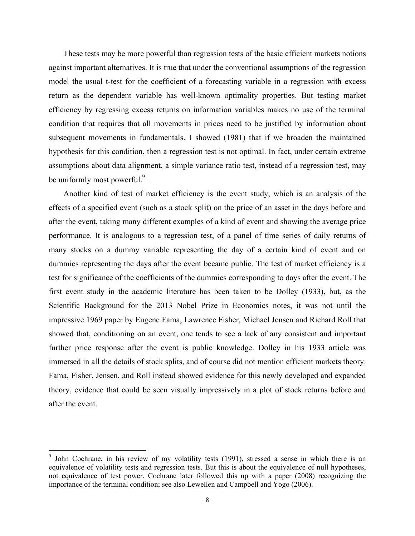These tests may be more powerful than regression tests of the basic efficient markets notions against important alternatives. It is true that under the conventional assumptions of the regression model the usual t-test for the coefficient of a forecasting variable in a regression with excess return as the dependent variable has well-known optimality properties. But testing market efficiency by regressing excess returns on information variables makes no use of the terminal condition that requires that all movements in prices need to be justified by information about subsequent movements in fundamentals. I showed (1981) that if we broaden the maintained hypothesis for this condition, then a regression test is not optimal. In fact, under certain extreme assumptions about data alignment, a simple variance ratio test, instead of a regression test, may be uniformly most powerful.<sup>9</sup>

Another kind of test of market efficiency is the event study, which is an analysis of the effects of a specified event (such as a stock split) on the price of an asset in the days before and after the event, taking many different examples of a kind of event and showing the average price performance. It is analogous to a regression test, of a panel of time series of daily returns of many stocks on a dummy variable representing the day of a certain kind of event and on dummies representing the days after the event became public. The test of market efficiency is a test for significance of the coefficients of the dummies corresponding to days after the event. The first event study in the academic literature has been taken to be Dolley (1933), but, as the Scientific Background for the 2013 Nobel Prize in Economics notes, it was not until the impressive 1969 paper by Eugene Fama, Lawrence Fisher, Michael Jensen and Richard Roll that showed that, conditioning on an event, one tends to see a lack of any consistent and important further price response after the event is public knowledge. Dolley in his 1933 article was immersed in all the details of stock splits, and of course did not mention efficient markets theory. Fama, Fisher, Jensen, and Roll instead showed evidence for this newly developed and expanded theory, evidence that could be seen visually impressively in a plot of stock returns before and after the event.

<sup>&</sup>lt;sup>9</sup> John Cochrane, in his review of my volatility tests (1991), stressed a sense in which there is an equivalence of volatility tests and regression tests. But this is about the equivalence of null hypotheses, not equivalence of test power. Cochrane later followed this up with a paper (2008) recognizing the importance of the terminal condition; see also Lewellen and Campbell and Yogo (2006).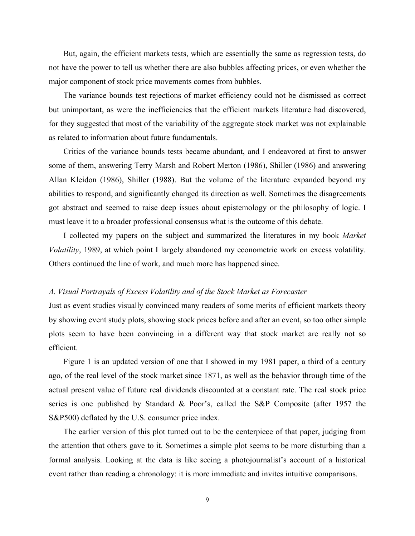But, again, the efficient markets tests, which are essentially the same as regression tests, do not have the power to tell us whether there are also bubbles affecting prices, or even whether the major component of stock price movements comes from bubbles.

The variance bounds test rejections of market efficiency could not be dismissed as correct but unimportant, as were the inefficiencies that the efficient markets literature had discovered, for they suggested that most of the variability of the aggregate stock market was not explainable as related to information about future fundamentals.

Critics of the variance bounds tests became abundant, and I endeavored at first to answer some of them, answering Terry Marsh and Robert Merton (1986), Shiller (1986) and answering Allan Kleidon (1986), Shiller (1988). But the volume of the literature expanded beyond my abilities to respond, and significantly changed its direction as well. Sometimes the disagreements got abstract and seemed to raise deep issues about epistemology or the philosophy of logic. I must leave it to a broader professional consensus what is the outcome of this debate.

I collected my papers on the subject and summarized the literatures in my book *Market Volatility*, 1989, at which point I largely abandoned my econometric work on excess volatility. Others continued the line of work, and much more has happened since.

#### *A. Visual Portrayals of Excess Volatility and of the Stock Market as Forecaster*

Just as event studies visually convinced many readers of some merits of efficient markets theory by showing event study plots, showing stock prices before and after an event, so too other simple plots seem to have been convincing in a different way that stock market are really not so efficient.

Figure 1 is an updated version of one that I showed in my 1981 paper, a third of a century ago, of the real level of the stock market since 1871, as well as the behavior through time of the actual present value of future real dividends discounted at a constant rate. The real stock price series is one published by Standard & Poor's, called the S&P Composite (after 1957 the S&P500) deflated by the U.S. consumer price index.

The earlier version of this plot turned out to be the centerpiece of that paper, judging from the attention that others gave to it. Sometimes a simple plot seems to be more disturbing than a formal analysis. Looking at the data is like seeing a photojournalist's account of a historical event rather than reading a chronology: it is more immediate and invites intuitive comparisons.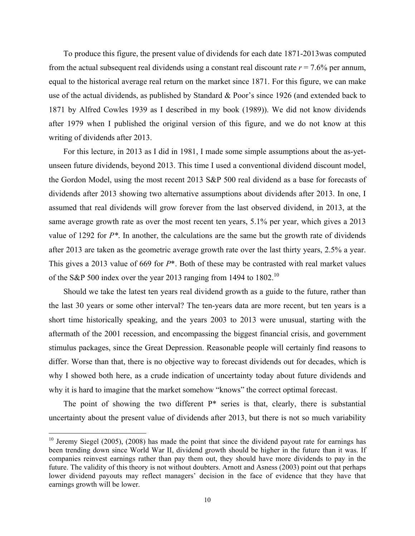To produce this figure, the present value of dividends for each date 1871-2013was computed from the actual subsequent real dividends using a constant real discount rate  $r = 7.6\%$  per annum, equal to the historical average real return on the market since 1871. For this figure, we can make use of the actual dividends, as published by Standard & Poor's since 1926 (and extended back to 1871 by Alfred Cowles 1939 as I described in my book (1989)). We did not know dividends after 1979 when I published the original version of this figure, and we do not know at this writing of dividends after 2013.

For this lecture, in 2013 as I did in 1981, I made some simple assumptions about the as-yetunseen future dividends, beyond 2013. This time I used a conventional dividend discount model, the Gordon Model, using the most recent 2013 S&P 500 real dividend as a base for forecasts of dividends after 2013 showing two alternative assumptions about dividends after 2013. In one, I assumed that real dividends will grow forever from the last observed dividend, in 2013, at the same average growth rate as over the most recent ten years, 5.1% per year, which gives a 2013 value of 1292 for *P\**. In another, the calculations are the same but the growth rate of dividends after 2013 are taken as the geometric average growth rate over the last thirty years, 2.5% a year. This gives a 2013 value of 669 for *P*\*. Both of these may be contrasted with real market values of the S&P 500 index over the year 2013 ranging from 1494 to 1802.<sup>10</sup>

Should we take the latest ten years real dividend growth as a guide to the future, rather than the last 30 years or some other interval? The ten-years data are more recent, but ten years is a short time historically speaking, and the years 2003 to 2013 were unusual, starting with the aftermath of the 2001 recession, and encompassing the biggest financial crisis, and government stimulus packages, since the Great Depression. Reasonable people will certainly find reasons to differ. Worse than that, there is no objective way to forecast dividends out for decades, which is why I showed both here, as a crude indication of uncertainty today about future dividends and why it is hard to imagine that the market somehow "knows" the correct optimal forecast.

The point of showing the two different  $P^*$  series is that, clearly, there is substantial uncertainty about the present value of dividends after 2013, but there is not so much variability

 $10$  Jeremy Siegel (2005), (2008) has made the point that since the dividend payout rate for earnings has been trending down since World War II, dividend growth should be higher in the future than it was. If companies reinvest earnings rather than pay them out, they should have more dividends to pay in the future. The validity of this theory is not without doubters. Arnott and Asness (2003) point out that perhaps lower dividend payouts may reflect managers' decision in the face of evidence that they have that earnings growth will be lower.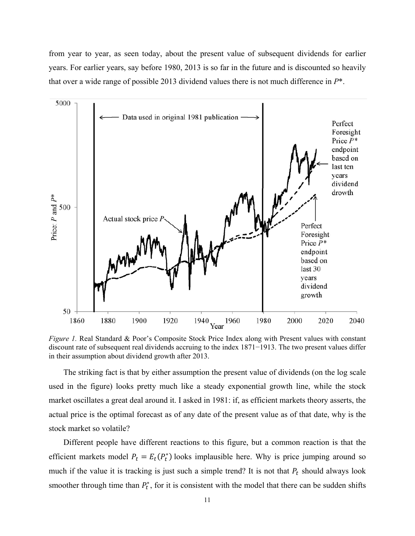from year to year, as seen today, about the present value of subsequent dividends for earlier years. For earlier years, say before 1980, 2013 is so far in the future and is discounted so heavily that over a wide range of possible 2013 dividend values there is not much difference in *P*\*.



*Figure 1.* Real Standard & Poor's Composite Stock Price Index along with Present values with constant discount rate of subsequent real dividends accruing to the index 1871−1913. The two present values differ in their assumption about dividend growth after 2013.

The striking fact is that by either assumption the present value of dividends (on the log scale used in the figure) looks pretty much like a steady exponential growth line, while the stock market oscillates a great deal around it. I asked in 1981: if, as efficient markets theory asserts, the actual price is the optimal forecast as of any date of the present value as of that date, why is the stock market so volatile?

Different people have different reactions to this figure, but a common reaction is that the efficient markets model  $P_t = E_t(P_t^*)$  looks implausible here. Why is price jumping around so much if the value it is tracking is just such a simple trend? It is not that  $P_t$  should always look smoother through time than  $P_t^*$ , for it is consistent with the model that there can be sudden shifts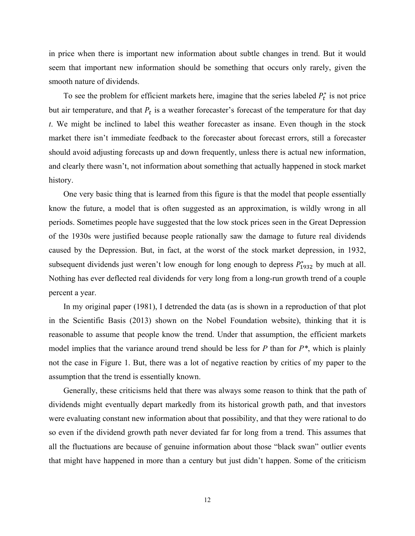in price when there is important new information about subtle changes in trend. But it would seem that important new information should be something that occurs only rarely, given the smooth nature of dividends.

To see the problem for efficient markets here, imagine that the series labeled  $P_t^*$  is not price but air temperature, and that  $P_t$  is a weather forecaster's forecast of the temperature for that day *t*. We might be inclined to label this weather forecaster as insane. Even though in the stock market there isn't immediate feedback to the forecaster about forecast errors, still a forecaster should avoid adjusting forecasts up and down frequently, unless there is actual new information, and clearly there wasn't, not information about something that actually happened in stock market history.

One very basic thing that is learned from this figure is that the model that people essentially know the future, a model that is often suggested as an approximation, is wildly wrong in all periods. Sometimes people have suggested that the low stock prices seen in the Great Depression of the 1930s were justified because people rationally saw the damage to future real dividends caused by the Depression. But, in fact, at the worst of the stock market depression, in 1932, subsequent dividends just weren't low enough for long enough to depress  $P_{1932}^*$  by much at all. Nothing has ever deflected real dividends for very long from a long-run growth trend of a couple percent a year.

In my original paper (1981), I detrended the data (as is shown in a reproduction of that plot in the Scientific Basis (2013) shown on the Nobel Foundation website), thinking that it is reasonable to assume that people know the trend. Under that assumption, the efficient markets model implies that the variance around trend should be less for *P* than for *P\**, which is plainly not the case in Figure 1. But, there was a lot of negative reaction by critics of my paper to the assumption that the trend is essentially known.

Generally, these criticisms held that there was always some reason to think that the path of dividends might eventually depart markedly from its historical growth path, and that investors were evaluating constant new information about that possibility, and that they were rational to do so even if the dividend growth path never deviated far for long from a trend. This assumes that all the fluctuations are because of genuine information about those "black swan" outlier events that might have happened in more than a century but just didn't happen. Some of the criticism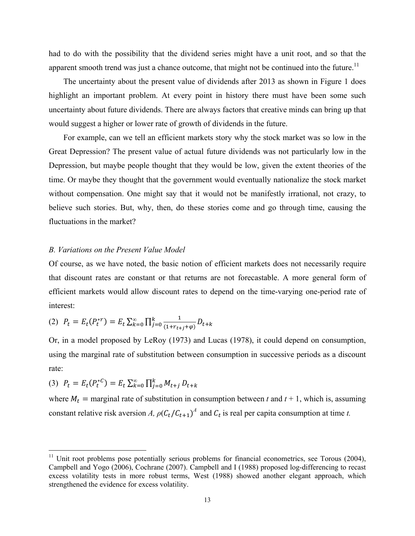had to do with the possibility that the dividend series might have a unit root, and so that the apparent smooth trend was just a chance outcome, that might not be continued into the future.<sup>11</sup>

The uncertainty about the present value of dividends after 2013 as shown in Figure 1 does highlight an important problem. At every point in history there must have been some such uncertainty about future dividends. There are always factors that creative minds can bring up that would suggest a higher or lower rate of growth of dividends in the future.

For example, can we tell an efficient markets story why the stock market was so low in the Great Depression? The present value of actual future dividends was not particularly low in the Depression, but maybe people thought that they would be low, given the extent theories of the time. Or maybe they thought that the government would eventually nationalize the stock market without compensation. One might say that it would not be manifestly irrational, not crazy, to believe such stories. But, why, then, do these stories come and go through time, causing the fluctuations in the market?

#### *B. Variations on the Present Value Model*

Of course, as we have noted, the basic notion of efficient markets does not necessarily require that discount rates are constant or that returns are not forecastable. A more general form of efficient markets would allow discount rates to depend on the time-varying one-period rate of interest:

(2) 
$$
P_t = E_t(P_t^{*r}) = E_t \sum_{k=0}^{\infty} \prod_{j=0}^{k} \frac{1}{(1 + r_{t+j} + \varphi)} D_{t+k}
$$

Or, in a model proposed by LeRoy (1973) and Lucas (1978), it could depend on consumption, using the marginal rate of substitution between consumption in successive periods as a discount rate:

(3) 
$$
P_t = E_t(P_t^{*C}) = E_t \sum_{k=0}^{\infty} \prod_{j=0}^{k} M_{t+j} D_{t+k}
$$

 $\overline{a}$ 

where  $M_t$  = marginal rate of substitution in consumption between *t* and  $t + 1$ , which is, assuming constant relative risk aversion *A*,  $\rho(C_t/C_{t+1})^A$  and  $C_t$  is real per capita consumption at time *t*.

 $11$  Unit root problems pose potentially serious problems for financial econometrics, see Torous (2004), Campbell and Yogo (2006), Cochrane (2007). Campbell and I (1988) proposed log-differencing to recast excess volatility tests in more robust terms, West (1988) showed another elegant approach, which strengthened the evidence for excess volatility.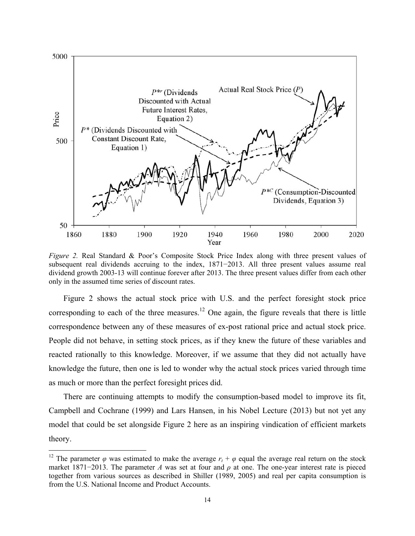

*Figure 2.* Real Standard & Poor's Composite Stock Price Index along with three present values of subsequent real dividends accruing to the index, 1871−2013. All three present values assume real dividend growth 2003-13 will continue forever after 2013. The three present values differ from each other only in the assumed time series of discount rates.

Figure 2 shows the actual stock price with U.S. and the perfect foresight stock price corresponding to each of the three measures.<sup>12</sup> One again, the figure reveals that there is little correspondence between any of these measures of ex-post rational price and actual stock price. People did not behave, in setting stock prices, as if they knew the future of these variables and reacted rationally to this knowledge. Moreover, if we assume that they did not actually have knowledge the future, then one is led to wonder why the actual stock prices varied through time as much or more than the perfect foresight prices did.

There are continuing attempts to modify the consumption-based model to improve its fit, Campbell and Cochrane (1999) and Lars Hansen, in his Nobel Lecture (2013) but not yet any model that could be set alongside Figure 2 here as an inspiring vindication of efficient markets theory.

<sup>&</sup>lt;sup>12</sup> The parameter  $\varphi$  was estimated to make the average  $r_t + \varphi$  equal the average real return on the stock market 1871−2013. The parameter *A* was set at four and *ρ* at one. The one-year interest rate is pieced together from various sources as described in Shiller (1989, 2005) and real per capita consumption is from the U.S. National Income and Product Accounts.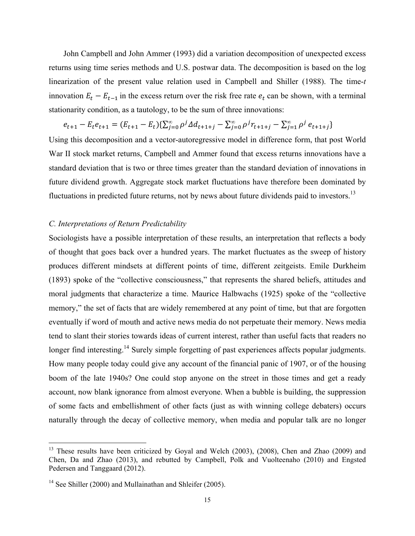John Campbell and John Ammer (1993) did a variation decomposition of unexpected excess returns using time series methods and U.S. postwar data. The decomposition is based on the log linearization of the present value relation used in Campbell and Shiller (1988). The time-*t* innovation  $E_t - E_{t-1}$  in the excess return over the risk free rate  $e_t$  can be shown, with a terminal stationarity condition, as a tautology, to be the sum of three innovations:

$$
e_{t+1} - E_t e_{t+1} = (E_{t+1} - E_t) \{ \sum_{j=0}^{\infty} \rho^j \Delta d_{t+1+j} - \sum_{j=0}^{\infty} \rho^j r_{t+1+j} - \sum_{j=1}^{\infty} \rho^j e_{t+1+j} \}
$$

Using this decomposition and a vector-autoregressive model in difference form, that post World War II stock market returns, Campbell and Ammer found that excess returns innovations have a standard deviation that is two or three times greater than the standard deviation of innovations in future dividend growth. Aggregate stock market fluctuations have therefore been dominated by fluctuations in predicted future returns, not by news about future dividends paid to investors.<sup>13</sup>

## *C. Interpretations of Return Predictability*

Sociologists have a possible interpretation of these results, an interpretation that reflects a body of thought that goes back over a hundred years. The market fluctuates as the sweep of history produces different mindsets at different points of time, different zeitgeists. Emile Durkheim (1893) spoke of the "collective consciousness," that represents the shared beliefs, attitudes and moral judgments that characterize a time. Maurice Halbwachs (1925) spoke of the "collective memory," the set of facts that are widely remembered at any point of time, but that are forgotten eventually if word of mouth and active news media do not perpetuate their memory. News media tend to slant their stories towards ideas of current interest, rather than useful facts that readers no longer find interesting.<sup>14</sup> Surely simple forgetting of past experiences affects popular judgments. How many people today could give any account of the financial panic of 1907, or of the housing boom of the late 1940s? One could stop anyone on the street in those times and get a ready account, now blank ignorance from almost everyone. When a bubble is building, the suppression of some facts and embellishment of other facts (just as with winning college debaters) occurs naturally through the decay of collective memory, when media and popular talk are no longer

<sup>&</sup>lt;sup>13</sup> These results have been criticized by Goyal and Welch (2003), (2008), Chen and Zhao (2009) and Chen, Da and Zhao (2013), and rebutted by Campbell, Polk and Vuolteenaho (2010) and Engsted Pedersen and Tanggaard (2012).

<sup>&</sup>lt;sup>14</sup> See Shiller (2000) and Mullainathan and Shleifer (2005).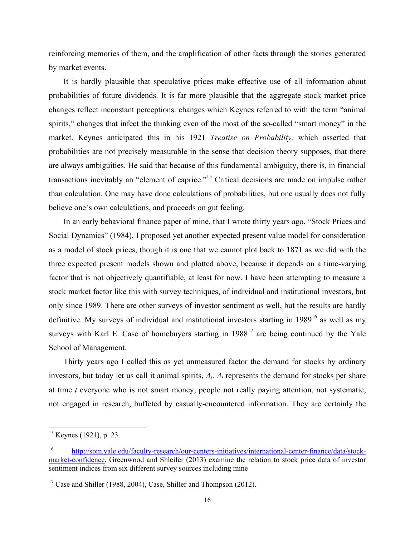reinforcing memories of them, and the amplification of other facts through the stories generated by market events.

It is hardly plausible that speculative prices make effective use of all information about probabilities of future dividends. It is far more plausible that the aggregate stock market price changes reflect inconstant perceptions. changes which Keynes referred to with the term "animal spirits," changes that infect the thinking even of the most of the so-called "smart money" in the market. Keynes anticipated this in his 1921 *Treatise on Probability,* which asserted that probabilities are not precisely measurable in the sense that decision theory supposes, that there are always ambiguities. He said that because of this fundamental ambiguity, there is, in financial transactions inevitably an "element of caprice."15 Critical decisions are made on impulse rather than calculation. One may have done calculations of probabilities, but one usually does not fully believe one's own calculations, and proceeds on gut feeling.

In an early behavioral finance paper of mine, that I wrote thirty years ago, "Stock Prices and Social Dynamics" (1984), I proposed yet another expected present value model for consideration as a model of stock prices, though it is one that we cannot plot back to 1871 as we did with the three expected present models shown and plotted above, because it depends on a time-varying factor that is not objectively quantifiable, at least for now. I have been attempting to measure a stock market factor like this with survey techniques, of individual and institutional investors, but only since 1989. There are other surveys of investor sentiment as well, but the results are hardly definitive. My surveys of individual and institutional investors starting in  $1989^{16}$  as well as my surveys with Karl E. Case of homebuyers starting in  $1988<sup>17</sup>$  are being continued by the Yale School of Management.

Thirty years ago I called this as yet unmeasured factor the demand for stocks by ordinary investors, but today let us call it animal spirits,  $A_t$ .  $A_t$  represents the demand for stocks per share at time *t* everyone who is not smart money, people not really paying attention, not systematic, not engaged in research, buffeted by casually-encountered information. They are certainly the

 $15$  Keynes (1921), p. 23.

<sup>16</sup> http://som.yale.edu/faculty-research/our-centers-initiatives/international-center-finance/data/stockmarket-confidence. Greenwood and Shleifer (2013) examine the relation to stock price data of investor sentiment indices from six different survey sources including mine

 $17$  Case and Shiller (1988, 2004), Case, Shiller and Thompson (2012).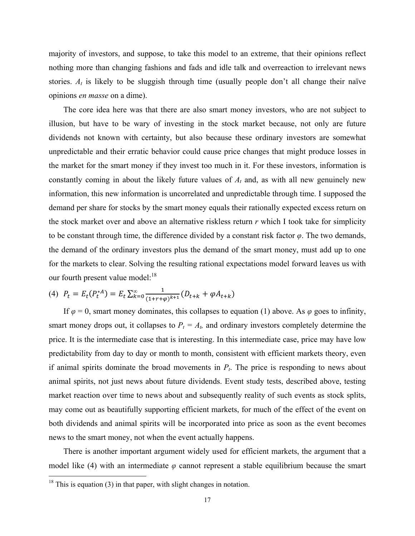majority of investors, and suppose, to take this model to an extreme, that their opinions reflect nothing more than changing fashions and fads and idle talk and overreaction to irrelevant news stories. *At* is likely to be sluggish through time (usually people don't all change their naïve opinions *en masse* on a dime).

The core idea here was that there are also smart money investors, who are not subject to illusion, but have to be wary of investing in the stock market because, not only are future dividends not known with certainty, but also because these ordinary investors are somewhat unpredictable and their erratic behavior could cause price changes that might produce losses in the market for the smart money if they invest too much in it. For these investors, information is constantly coming in about the likely future values of *At* and, as with all new genuinely new information, this new information is uncorrelated and unpredictable through time. I supposed the demand per share for stocks by the smart money equals their rationally expected excess return on the stock market over and above an alternative riskless return *r* which I took take for simplicity to be constant through time, the difference divided by a constant risk factor *φ*. The two demands, the demand of the ordinary investors plus the demand of the smart money, must add up to one for the markets to clear. Solving the resulting rational expectations model forward leaves us with our fourth present value model:<sup>18</sup>

(4)  $P_t = E_t(P_t^{*A}) = E_t \sum_{k=0}^{\infty} \frac{1}{(1+r+\varphi)^{k+1}}$  $\sum_{k=0}^{\infty} \frac{1}{(1+r+a)^{k+1}} (D_{t+k} + \varphi A_{t+k})$ 

If  $\varphi = 0$ , smart money dominates, this collapses to equation (1) above. As  $\varphi$  goes to infinity, smart money drops out, it collapses to  $P_t = A_t$ , and ordinary investors completely determine the price. It is the intermediate case that is interesting. In this intermediate case, price may have low predictability from day to day or month to month, consistent with efficient markets theory, even if animal spirits dominate the broad movements in  $P_t$ . The price is responding to news about animal spirits, not just news about future dividends. Event study tests, described above, testing market reaction over time to news about and subsequently reality of such events as stock splits, may come out as beautifully supporting efficient markets, for much of the effect of the event on both dividends and animal spirits will be incorporated into price as soon as the event becomes news to the smart money, not when the event actually happens.

There is another important argument widely used for efficient markets, the argument that a model like (4) with an intermediate  $\varphi$  cannot represent a stable equilibrium because the smart

 $18$ <sup>18</sup> This is equation (3) in that paper, with slight changes in notation.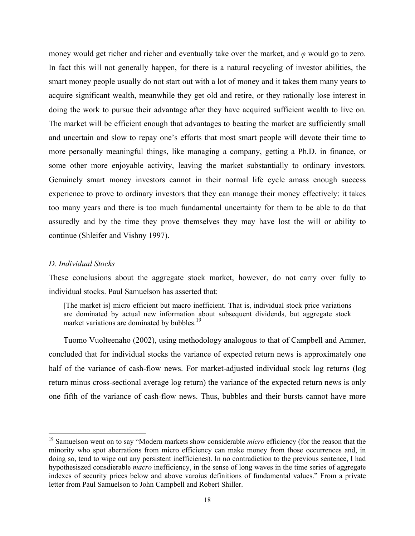money would get richer and richer and eventually take over the market, and *φ* would go to zero. In fact this will not generally happen, for there is a natural recycling of investor abilities, the smart money people usually do not start out with a lot of money and it takes them many years to acquire significant wealth, meanwhile they get old and retire, or they rationally lose interest in doing the work to pursue their advantage after they have acquired sufficient wealth to live on. The market will be efficient enough that advantages to beating the market are sufficiently small and uncertain and slow to repay one's efforts that most smart people will devote their time to more personally meaningful things, like managing a company, getting a Ph.D. in finance, or some other more enjoyable activity, leaving the market substantially to ordinary investors. Genuinely smart money investors cannot in their normal life cycle amass enough success experience to prove to ordinary investors that they can manage their money effectively: it takes too many years and there is too much fundamental uncertainty for them to be able to do that assuredly and by the time they prove themselves they may have lost the will or ability to continue (Shleifer and Vishny 1997).

### *D. Individual Stocks*

 $\overline{a}$ 

These conclusions about the aggregate stock market, however, do not carry over fully to individual stocks. Paul Samuelson has asserted that:

[The market is] micro efficient but macro inefficient. That is, individual stock price variations are dominated by actual new information about subsequent dividends, but aggregate stock market variations are dominated by bubbles.<sup>19</sup>

Tuomo Vuolteenaho (2002), using methodology analogous to that of Campbell and Ammer, concluded that for individual stocks the variance of expected return news is approximately one half of the variance of cash-flow news. For market-adjusted individual stock log returns (log return minus cross-sectional average log return) the variance of the expected return news is only one fifth of the variance of cash-flow news. Thus, bubbles and their bursts cannot have more

<sup>19</sup> Samuelson went on to say "Modern markets show considerable *micro* efficiency (for the reason that the minority who spot aberrations from micro efficiency can make money from those occurrences and, in doing so, tend to wipe out any persistent inefficienes). In no contradiction to the previous sentence, I had hypothesiszed consdierable *macro* inefficiency, in the sense of long waves in the time series of aggregate indexes of security prices below and above varoius definitions of fundamental values." From a private letter from Paul Samuelson to John Campbell and Robert Shiller.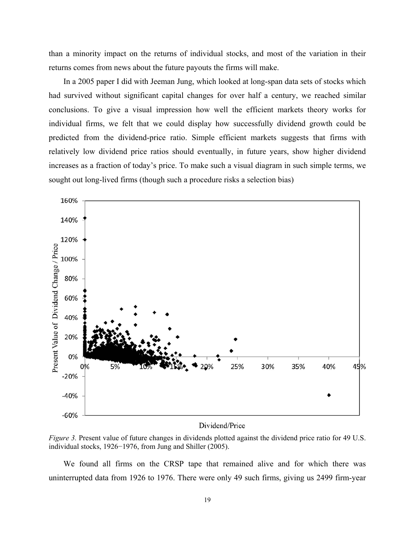than a minority impact on the returns of individual stocks, and most of the variation in their returns comes from news about the future payouts the firms will make.

In a 2005 paper I did with Jeeman Jung, which looked at long-span data sets of stocks which had survived without significant capital changes for over half a century, we reached similar conclusions. To give a visual impression how well the efficient markets theory works for individual firms, we felt that we could display how successfully dividend growth could be predicted from the dividend-price ratio. Simple efficient markets suggests that firms with relatively low dividend price ratios should eventually, in future years, show higher dividend increases as a fraction of today's price. To make such a visual diagram in such simple terms, we sought out long-lived firms (though such a procedure risks a selection bias)



#### Dividend/Price

*Figure 3.* Present value of future changes in dividends plotted against the dividend price ratio for 49 U.S. individual stocks, 1926−1976, from Jung and Shiller (2005).

We found all firms on the CRSP tape that remained alive and for which there was uninterrupted data from 1926 to 1976. There were only 49 such firms, giving us 2499 firm-year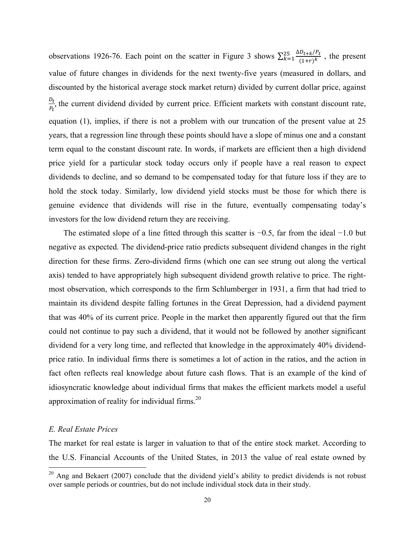observations 1926-76. Each point on the scatter in Figure 3 shows  $\sum_{k=1}^{25} \frac{\Delta D_{t+k}/P_t}{(1+r)^k}$  $\frac{\Delta D_{t+k}/P_t}{(1+r)^k}$ , the present value of future changes in dividends for the next twenty-five years (measured in dollars, and discounted by the historical average stock market return) divided by current dollar price, against  $D_t$  $\frac{Dt}{Pt}$ , the current dividend divided by current price. Efficient markets with constant discount rate, equation (1), implies, if there is not a problem with our truncation of the present value at 25 years, that a regression line through these points should have a slope of minus one and a constant term equal to the constant discount rate. In words, if markets are efficient then a high dividend price yield for a particular stock today occurs only if people have a real reason to expect dividends to decline, and so demand to be compensated today for that future loss if they are to hold the stock today. Similarly, low dividend yield stocks must be those for which there is genuine evidence that dividends will rise in the future, eventually compensating today's investors for the low dividend return they are receiving.

The estimated slope of a line fitted through this scatter is −0.5, far from the ideal −1.0 but negative as expected. The dividend-price ratio predicts subsequent dividend changes in the right direction for these firms. Zero-dividend firms (which one can see strung out along the vertical axis) tended to have appropriately high subsequent dividend growth relative to price. The rightmost observation, which corresponds to the firm Schlumberger in 1931, a firm that had tried to maintain its dividend despite falling fortunes in the Great Depression, had a dividend payment that was 40% of its current price. People in the market then apparently figured out that the firm could not continue to pay such a dividend, that it would not be followed by another significant dividend for a very long time, and reflected that knowledge in the approximately 40% dividendprice ratio. In individual firms there is sometimes a lot of action in the ratios, and the action in fact often reflects real knowledge about future cash flows. That is an example of the kind of idiosyncratic knowledge about individual firms that makes the efficient markets model a useful approximation of reality for individual firms. $^{20}$ 

### *E. Real Estate Prices*

1

The market for real estate is larger in valuation to that of the entire stock market. According to the U.S. Financial Accounts of the United States, in 2013 the value of real estate owned by

 $20$  Ang and Bekaert (2007) conclude that the dividend yield's ability to predict dividends is not robust over sample periods or countries, but do not include individual stock data in their study.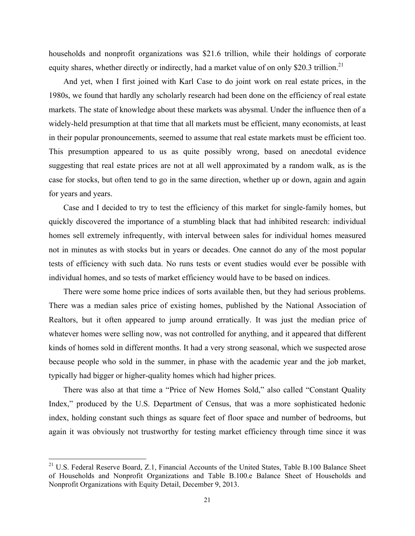households and nonprofit organizations was \$21.6 trillion, while their holdings of corporate equity shares, whether directly or indirectly, had a market value of on only \$20.3 trillion.<sup>21</sup>

And yet, when I first joined with Karl Case to do joint work on real estate prices, in the 1980s, we found that hardly any scholarly research had been done on the efficiency of real estate markets. The state of knowledge about these markets was abysmal. Under the influence then of a widely-held presumption at that time that all markets must be efficient, many economists, at least in their popular pronouncements, seemed to assume that real estate markets must be efficient too. This presumption appeared to us as quite possibly wrong, based on anecdotal evidence suggesting that real estate prices are not at all well approximated by a random walk, as is the case for stocks, but often tend to go in the same direction, whether up or down, again and again for years and years.

Case and I decided to try to test the efficiency of this market for single-family homes, but quickly discovered the importance of a stumbling black that had inhibited research: individual homes sell extremely infrequently, with interval between sales for individual homes measured not in minutes as with stocks but in years or decades. One cannot do any of the most popular tests of efficiency with such data. No runs tests or event studies would ever be possible with individual homes, and so tests of market efficiency would have to be based on indices.

There were some home price indices of sorts available then, but they had serious problems. There was a median sales price of existing homes, published by the National Association of Realtors, but it often appeared to jump around erratically. It was just the median price of whatever homes were selling now, was not controlled for anything, and it appeared that different kinds of homes sold in different months. It had a very strong seasonal, which we suspected arose because people who sold in the summer, in phase with the academic year and the job market, typically had bigger or higher-quality homes which had higher prices.

There was also at that time a "Price of New Homes Sold," also called "Constant Quality Index," produced by the U.S. Department of Census, that was a more sophisticated hedonic index, holding constant such things as square feet of floor space and number of bedrooms, but again it was obviously not trustworthy for testing market efficiency through time since it was

<u>.</u>

 $^{21}$  U.S. Federal Reserve Board, Z.1, Financial Accounts of the United States, Table B.100 Balance Sheet of Households and Nonprofit Organizations and Table B.100.e Balance Sheet of Households and Nonprofit Organizations with Equity Detail, December 9, 2013.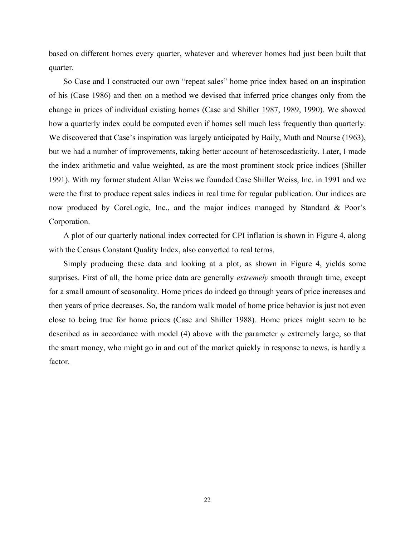based on different homes every quarter, whatever and wherever homes had just been built that quarter.

So Case and I constructed our own "repeat sales" home price index based on an inspiration of his (Case 1986) and then on a method we devised that inferred price changes only from the change in prices of individual existing homes (Case and Shiller 1987, 1989, 1990). We showed how a quarterly index could be computed even if homes sell much less frequently than quarterly. We discovered that Case's inspiration was largely anticipated by Baily, Muth and Nourse (1963), but we had a number of improvements, taking better account of heteroscedasticity. Later, I made the index arithmetic and value weighted, as are the most prominent stock price indices (Shiller 1991). With my former student Allan Weiss we founded Case Shiller Weiss, Inc. in 1991 and we were the first to produce repeat sales indices in real time for regular publication. Our indices are now produced by CoreLogic, Inc., and the major indices managed by Standard & Poor's Corporation.

A plot of our quarterly national index corrected for CPI inflation is shown in Figure 4, along with the Census Constant Quality Index, also converted to real terms.

Simply producing these data and looking at a plot, as shown in Figure 4, yields some surprises. First of all, the home price data are generally *extremely* smooth through time, except for a small amount of seasonality. Home prices do indeed go through years of price increases and then years of price decreases. So, the random walk model of home price behavior is just not even close to being true for home prices (Case and Shiller 1988). Home prices might seem to be described as in accordance with model (4) above with the parameter *φ* extremely large, so that the smart money, who might go in and out of the market quickly in response to news, is hardly a factor.

22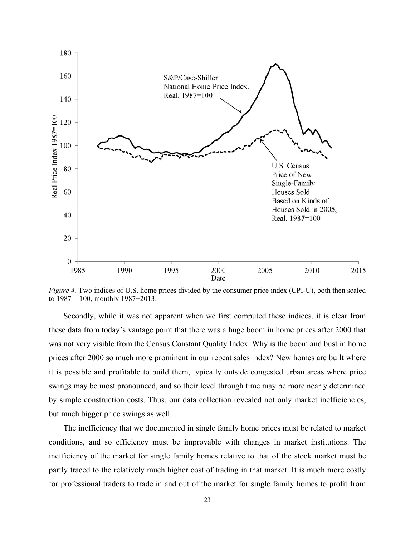

*Figure 4.* Two indices of U.S. home prices divided by the consumer price index (CPI-U), both then scaled to 1987 = 100, monthly 1987−2013.

Secondly, while it was not apparent when we first computed these indices, it is clear from these data from today's vantage point that there was a huge boom in home prices after 2000 that was not very visible from the Census Constant Quality Index. Why is the boom and bust in home prices after 2000 so much more prominent in our repeat sales index? New homes are built where it is possible and profitable to build them, typically outside congested urban areas where price swings may be most pronounced, and so their level through time may be more nearly determined by simple construction costs. Thus, our data collection revealed not only market inefficiencies, but much bigger price swings as well.

The inefficiency that we documented in single family home prices must be related to market conditions, and so efficiency must be improvable with changes in market institutions. The inefficiency of the market for single family homes relative to that of the stock market must be partly traced to the relatively much higher cost of trading in that market. It is much more costly for professional traders to trade in and out of the market for single family homes to profit from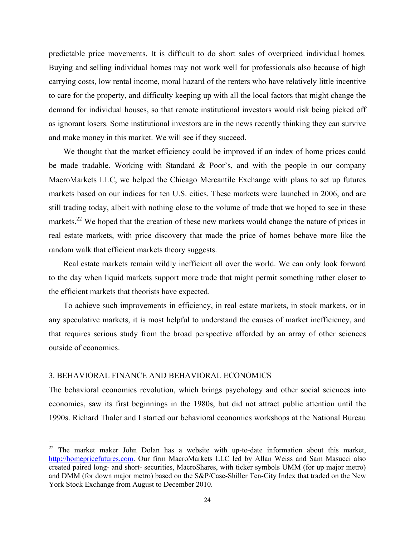predictable price movements. It is difficult to do short sales of overpriced individual homes. Buying and selling individual homes may not work well for professionals also because of high carrying costs, low rental income, moral hazard of the renters who have relatively little incentive to care for the property, and difficulty keeping up with all the local factors that might change the demand for individual houses, so that remote institutional investors would risk being picked off as ignorant losers. Some institutional investors are in the news recently thinking they can survive and make money in this market. We will see if they succeed.

We thought that the market efficiency could be improved if an index of home prices could be made tradable. Working with Standard & Poor's, and with the people in our company MacroMarkets LLC, we helped the Chicago Mercantile Exchange with plans to set up futures markets based on our indices for ten U.S. cities. These markets were launched in 2006, and are still trading today, albeit with nothing close to the volume of trade that we hoped to see in these markets.<sup>22</sup> We hoped that the creation of these new markets would change the nature of prices in real estate markets, with price discovery that made the price of homes behave more like the random walk that efficient markets theory suggests.

Real estate markets remain wildly inefficient all over the world. We can only look forward to the day when liquid markets support more trade that might permit something rather closer to the efficient markets that theorists have expected.

To achieve such improvements in efficiency, in real estate markets, in stock markets, or in any speculative markets, it is most helpful to understand the causes of market inefficiency, and that requires serious study from the broad perspective afforded by an array of other sciences outside of economics.

#### 3. BEHAVIORAL FINANCE AND BEHAVIORAL ECONOMICS

<u>.</u>

The behavioral economics revolution, which brings psychology and other social sciences into economics, saw its first beginnings in the 1980s, but did not attract public attention until the 1990s. Richard Thaler and I started our behavioral economics workshops at the National Bureau

 $22$  The market maker John Dolan has a website with up-to-date information about this market, http://homepricefutures.com. Our firm MacroMarkets LLC led by Allan Weiss and Sam Masucci also created paired long- and short- securities, MacroShares, with ticker symbols UMM (for up major metro) and DMM (for down major metro) based on the S&P/Case-Shiller Ten-City Index that traded on the New York Stock Exchange from August to December 2010.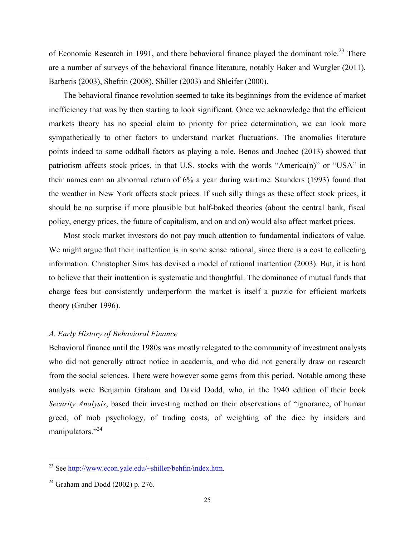of Economic Research in 1991, and there behavioral finance played the dominant role.<sup>23</sup> There are a number of surveys of the behavioral finance literature, notably Baker and Wurgler (2011), Barberis (2003), Shefrin (2008), Shiller (2003) and Shleifer (2000).

The behavioral finance revolution seemed to take its beginnings from the evidence of market inefficiency that was by then starting to look significant. Once we acknowledge that the efficient markets theory has no special claim to priority for price determination, we can look more sympathetically to other factors to understand market fluctuations. The anomalies literature points indeed to some oddball factors as playing a role. Benos and Jochec (2013) showed that patriotism affects stock prices, in that U.S. stocks with the words "America(n)" or "USA" in their names earn an abnormal return of 6% a year during wartime. Saunders (1993) found that the weather in New York affects stock prices. If such silly things as these affect stock prices, it should be no surprise if more plausible but half-baked theories (about the central bank, fiscal policy, energy prices, the future of capitalism, and on and on) would also affect market prices.

Most stock market investors do not pay much attention to fundamental indicators of value. We might argue that their inattention is in some sense rational, since there is a cost to collecting information. Christopher Sims has devised a model of rational inattention (2003). But, it is hard to believe that their inattention is systematic and thoughtful. The dominance of mutual funds that charge fees but consistently underperform the market is itself a puzzle for efficient markets theory (Gruber 1996).

#### *A. Early History of Behavioral Finance*

Behavioral finance until the 1980s was mostly relegated to the community of investment analysts who did not generally attract notice in academia, and who did not generally draw on research from the social sciences. There were however some gems from this period. Notable among these analysts were Benjamin Graham and David Dodd, who, in the 1940 edition of their book *Security Analysis*, based their investing method on their observations of "ignorance, of human greed, of mob psychology, of trading costs, of weighting of the dice by insiders and manipulators."<sup>24</sup>

<sup>&</sup>lt;sup>23</sup> See http://www.econ.yale.edu/~shiller/behfin/index.htm.

<sup>24</sup> Graham and Dodd (2002) p. 276.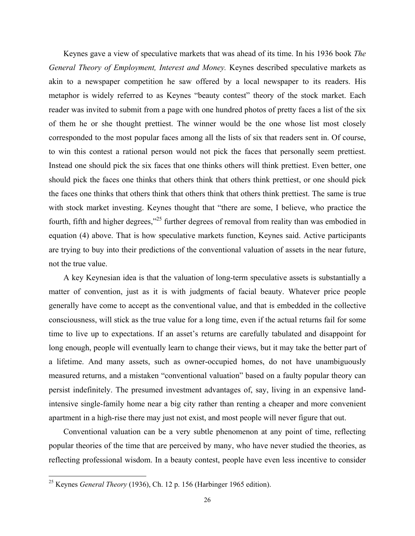Keynes gave a view of speculative markets that was ahead of its time. In his 1936 book *The General Theory of Employment, Interest and Money.* Keynes described speculative markets as akin to a newspaper competition he saw offered by a local newspaper to its readers. His metaphor is widely referred to as Keynes "beauty contest" theory of the stock market. Each reader was invited to submit from a page with one hundred photos of pretty faces a list of the six of them he or she thought prettiest. The winner would be the one whose list most closely corresponded to the most popular faces among all the lists of six that readers sent in. Of course, to win this contest a rational person would not pick the faces that personally seem prettiest. Instead one should pick the six faces that one thinks others will think prettiest. Even better, one should pick the faces one thinks that others think that others think prettiest, or one should pick the faces one thinks that others think that others think that others think prettiest. The same is true with stock market investing. Keynes thought that "there are some, I believe, who practice the fourth, fifth and higher degrees,"<sup>25</sup> further degrees of removal from reality than was embodied in equation (4) above. That is how speculative markets function, Keynes said. Active participants are trying to buy into their predictions of the conventional valuation of assets in the near future, not the true value.

A key Keynesian idea is that the valuation of long-term speculative assets is substantially a matter of convention, just as it is with judgments of facial beauty. Whatever price people generally have come to accept as the conventional value, and that is embedded in the collective consciousness, will stick as the true value for a long time, even if the actual returns fail for some time to live up to expectations. If an asset's returns are carefully tabulated and disappoint for long enough, people will eventually learn to change their views, but it may take the better part of a lifetime. And many assets, such as owner-occupied homes, do not have unambiguously measured returns, and a mistaken "conventional valuation" based on a faulty popular theory can persist indefinitely. The presumed investment advantages of, say, living in an expensive landintensive single-family home near a big city rather than renting a cheaper and more convenient apartment in a high-rise there may just not exist, and most people will never figure that out.

Conventional valuation can be a very subtle phenomenon at any point of time, reflecting popular theories of the time that are perceived by many, who have never studied the theories, as reflecting professional wisdom. In a beauty contest, people have even less incentive to consider

<sup>25</sup> Keynes *General Theory* (1936), Ch. 12 p. 156 (Harbinger 1965 edition).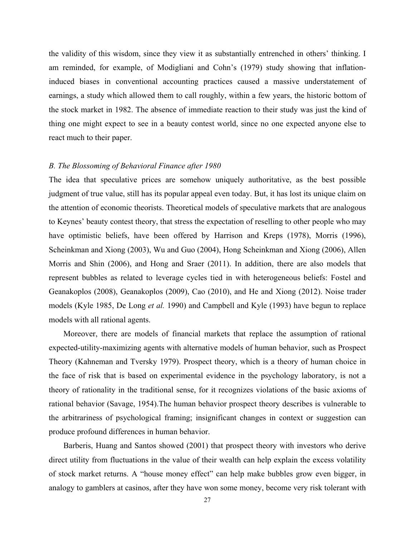the validity of this wisdom, since they view it as substantially entrenched in others' thinking. I am reminded, for example, of Modigliani and Cohn's (1979) study showing that inflationinduced biases in conventional accounting practices caused a massive understatement of earnings, a study which allowed them to call roughly, within a few years, the historic bottom of the stock market in 1982. The absence of immediate reaction to their study was just the kind of thing one might expect to see in a beauty contest world, since no one expected anyone else to react much to their paper.

#### *B. The Blossoming of Behavioral Finance after 1980*

The idea that speculative prices are somehow uniquely authoritative, as the best possible judgment of true value, still has its popular appeal even today. But, it has lost its unique claim on the attention of economic theorists. Theoretical models of speculative markets that are analogous to Keynes' beauty contest theory, that stress the expectation of reselling to other people who may have optimistic beliefs, have been offered by Harrison and Kreps (1978), Morris (1996), Scheinkman and Xiong (2003), Wu and Guo (2004), Hong Scheinkman and Xiong (2006), Allen Morris and Shin (2006), and Hong and Sraer (2011). In addition, there are also models that represent bubbles as related to leverage cycles tied in with heterogeneous beliefs: Fostel and Geanakoplos (2008), Geanakoplos (2009), Cao (2010), and He and Xiong (2012). Noise trader models (Kyle 1985, De Long *et al.* 1990) and Campbell and Kyle (1993) have begun to replace models with all rational agents.

Moreover, there are models of financial markets that replace the assumption of rational expected-utility-maximizing agents with alternative models of human behavior, such as Prospect Theory (Kahneman and Tversky 1979). Prospect theory, which is a theory of human choice in the face of risk that is based on experimental evidence in the psychology laboratory, is not a theory of rationality in the traditional sense, for it recognizes violations of the basic axioms of rational behavior (Savage, 1954).The human behavior prospect theory describes is vulnerable to the arbitrariness of psychological framing; insignificant changes in context or suggestion can produce profound differences in human behavior.

Barberis, Huang and Santos showed (2001) that prospect theory with investors who derive direct utility from fluctuations in the value of their wealth can help explain the excess volatility of stock market returns. A "house money effect" can help make bubbles grow even bigger, in analogy to gamblers at casinos, after they have won some money, become very risk tolerant with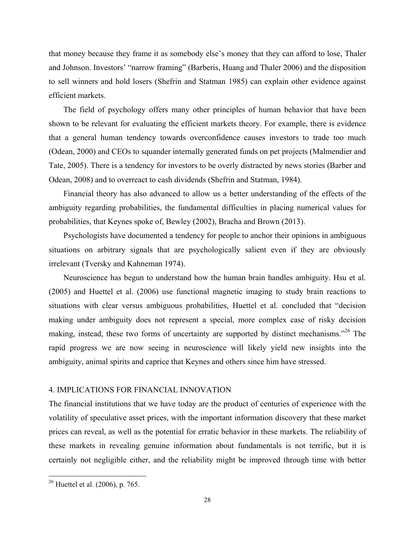that money because they frame it as somebody else's money that they can afford to lose, Thaler and Johnson. Investors' "narrow framing" (Barberis, Huang and Thaler 2006) and the disposition to sell winners and hold losers (Shefrin and Statman 1985) can explain other evidence against efficient markets.

The field of psychology offers many other principles of human behavior that have been shown to be relevant for evaluating the efficient markets theory. For example, there is evidence that a general human tendency towards overconfidence causes investors to trade too much (Odean, 2000) and CEOs to squander internally generated funds on pet projects (Malmendier and Tate, 2005). There is a tendency for investors to be overly distracted by news stories (Barber and Odean, 2008) and to overreact to cash dividends (Shefrin and Statman, 1984).

Financial theory has also advanced to allow us a better understanding of the effects of the ambiguity regarding probabilities, the fundamental difficulties in placing numerical values for probabilities, that Keynes spoke of, Bewley (2002), Bracha and Brown (2013).

Psychologists have documented a tendency for people to anchor their opinions in ambiguous situations on arbitrary signals that are psychologically salient even if they are obviously irrelevant (Tversky and Kahneman 1974).

Neuroscience has begun to understand how the human brain handles ambiguity. Hsu et al. (2005) and Huettel et al. (2006) use functional magnetic imaging to study brain reactions to situations with clear versus ambiguous probabilities, Huettel et al. concluded that "decision making under ambiguity does not represent a special, more complex case of risky decision making, instead, these two forms of uncertainty are supported by distinct mechanisms."26 The rapid progress we are now seeing in neuroscience will likely yield new insights into the ambiguity, animal spirits and caprice that Keynes and others since him have stressed.

### 4. IMPLICATIONS FOR FINANCIAL INNOVATION

The financial institutions that we have today are the product of centuries of experience with the volatility of speculative asset prices, with the important information discovery that these market prices can reveal, as well as the potential for erratic behavior in these markets. The reliability of these markets in revealing genuine information about fundamentals is not terrific, but it is certainly not negligible either, and the reliability might be improved through time with better

<u>.</u>

 $26$  Huettel et al. (2006), p. 765.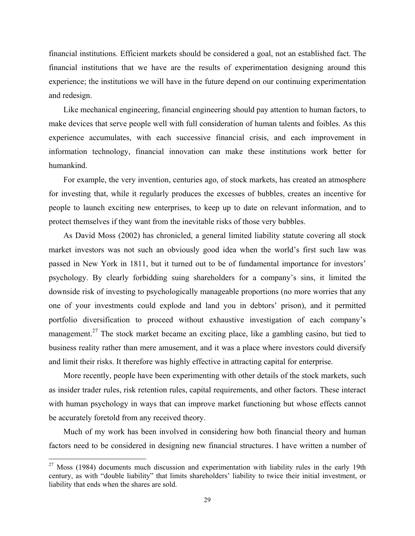financial institutions. Efficient markets should be considered a goal, not an established fact. The financial institutions that we have are the results of experimentation designing around this experience; the institutions we will have in the future depend on our continuing experimentation and redesign.

Like mechanical engineering, financial engineering should pay attention to human factors, to make devices that serve people well with full consideration of human talents and foibles. As this experience accumulates, with each successive financial crisis, and each improvement in information technology, financial innovation can make these institutions work better for humankind.

For example, the very invention, centuries ago, of stock markets, has created an atmosphere for investing that, while it regularly produces the excesses of bubbles, creates an incentive for people to launch exciting new enterprises, to keep up to date on relevant information, and to protect themselves if they want from the inevitable risks of those very bubbles.

As David Moss (2002) has chronicled, a general limited liability statute covering all stock market investors was not such an obviously good idea when the world's first such law was passed in New York in 1811, but it turned out to be of fundamental importance for investors' psychology. By clearly forbidding suing shareholders for a company's sins, it limited the downside risk of investing to psychologically manageable proportions (no more worries that any one of your investments could explode and land you in debtors' prison), and it permitted portfolio diversification to proceed without exhaustive investigation of each company's management.<sup>27</sup> The stock market became an exciting place, like a gambling casino, but tied to business reality rather than mere amusement, and it was a place where investors could diversify and limit their risks. It therefore was highly effective in attracting capital for enterprise.

More recently, people have been experimenting with other details of the stock markets, such as insider trader rules, risk retention rules, capital requirements, and other factors. These interact with human psychology in ways that can improve market functioning but whose effects cannot be accurately foretold from any received theory.

Much of my work has been involved in considering how both financial theory and human factors need to be considered in designing new financial structures. I have written a number of

 $27$  Moss (1984) documents much discussion and experimentation with liability rules in the early 19th century, as with "double liability" that limits shareholders' liability to twice their initial investment, or liability that ends when the shares are sold.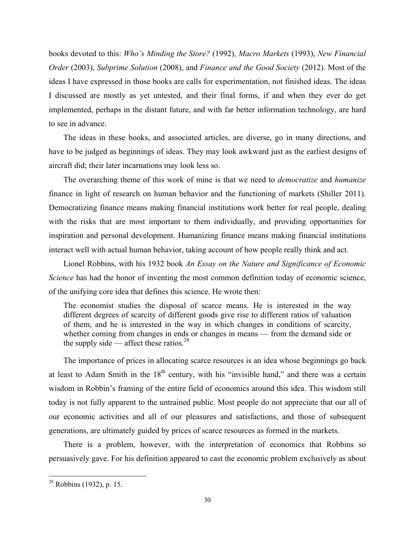books devoted to this: *Who's Minding the Store?* (1992), *Macro Markets* (1993), *New Financial Order* (2003), *Subprime Solution* (2008), and *Finance and the Good Society* (2012). Most of the ideas I have expressed in those books are calls for experimentation, not finished ideas. The ideas I discussed are mostly as yet untested, and their final forms, if and when they ever do get implemented, perhaps in the distant future, and with far better information technology, are hard to see in advance.

The ideas in these books, and associated articles, are diverse, go in many directions, and have to be judged as beginnings of ideas. They may look awkward just as the earliest designs of aircraft did; their later incarnations may look less so.

The overarching theme of this work of mine is that we need to *democratize* and *humanize*  finance in light of research on human behavior and the functioning of markets (Shiller 2011). Democratizing finance means making financial institutions work better for real people, dealing with the risks that are most important to them individually, and providing opportunities for inspiration and personal development. Humanizing finance means making financial institutions interact well with actual human behavior, taking account of how people really think and act.

Lionel Robbins, with his 1932 book *An Essay on the Nature and Significance of Economic Science* has had the honor of inventing the most common definition today of economic science, of the unifying core idea that defines this science. He wrote then:

The economist studies the disposal of scarce means. He is interested in the way different degrees of scarcity of different goods give rise to different ratios of valuation of them, and he is interested in the way in which changes in conditions of scarcity, whether coming from changes in ends or changes in means — from the demand side or the supply side — affect these ratios.<sup>28</sup>

The importance of prices in allocating scarce resources is an idea whose beginnings go back at least to Adam Smith in the  $18<sup>th</sup>$  century, with his "invisible hand," and there was a certain wisdom in Robbin's framing of the entire field of economics around this idea. This wisdom still today is not fully apparent to the untrained public. Most people do not appreciate that our all of our economic activities and all of our pleasures and satisfactions, and those of subsequent generations, are ultimately guided by prices of scarce resources as formed in the markets.

There is a problem, however, with the interpretation of economics that Robbins so persuasively gave. For his definition appeared to cast the economic problem exclusively as about

 $28$  Robbins (1932), p. 15.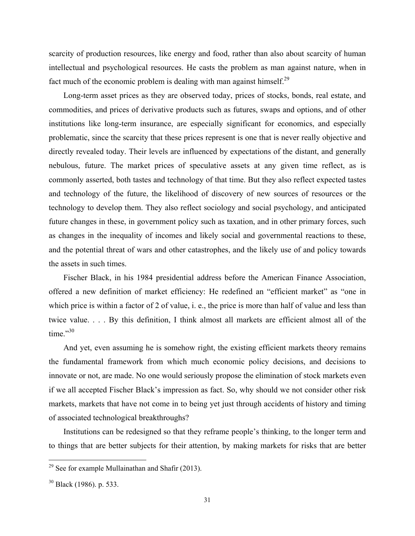scarcity of production resources, like energy and food, rather than also about scarcity of human intellectual and psychological resources. He casts the problem as man against nature, when in fact much of the economic problem is dealing with man against himself.<sup>29</sup>

Long-term asset prices as they are observed today, prices of stocks, bonds, real estate, and commodities, and prices of derivative products such as futures, swaps and options, and of other institutions like long-term insurance, are especially significant for economics, and especially problematic, since the scarcity that these prices represent is one that is never really objective and directly revealed today. Their levels are influenced by expectations of the distant, and generally nebulous, future. The market prices of speculative assets at any given time reflect, as is commonly asserted, both tastes and technology of that time. But they also reflect expected tastes and technology of the future, the likelihood of discovery of new sources of resources or the technology to develop them. They also reflect sociology and social psychology, and anticipated future changes in these, in government policy such as taxation, and in other primary forces, such as changes in the inequality of incomes and likely social and governmental reactions to these, and the potential threat of wars and other catastrophes, and the likely use of and policy towards the assets in such times.

Fischer Black, in his 1984 presidential address before the American Finance Association, offered a new definition of market efficiency: He redefined an "efficient market" as "one in which price is within a factor of 2 of value, i. e., the price is more than half of value and less than twice value. . . . By this definition, I think almost all markets are efficient almost all of the time." $30$ 

And yet, even assuming he is somehow right, the existing efficient markets theory remains the fundamental framework from which much economic policy decisions, and decisions to innovate or not, are made. No one would seriously propose the elimination of stock markets even if we all accepted Fischer Black's impression as fact. So, why should we not consider other risk markets, markets that have not come in to being yet just through accidents of history and timing of associated technological breakthroughs?

Institutions can be redesigned so that they reframe people's thinking, to the longer term and to things that are better subjects for their attention, by making markets for risks that are better

 $29$  See for example Mullainathan and Shafir (2013).

<sup>30</sup> Black (1986). p. 533.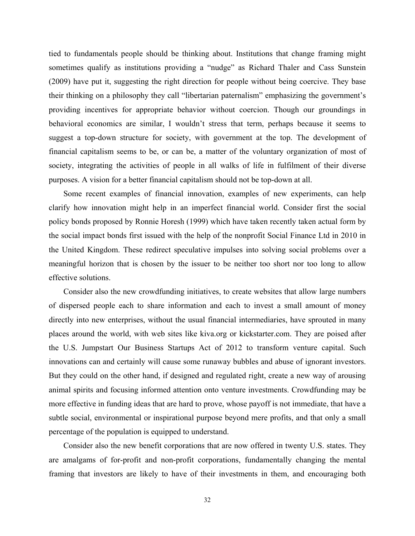tied to fundamentals people should be thinking about. Institutions that change framing might sometimes qualify as institutions providing a "nudge" as Richard Thaler and Cass Sunstein (2009) have put it, suggesting the right direction for people without being coercive. They base their thinking on a philosophy they call "libertarian paternalism" emphasizing the government's providing incentives for appropriate behavior without coercion. Though our groundings in behavioral economics are similar, I wouldn't stress that term, perhaps because it seems to suggest a top-down structure for society, with government at the top. The development of financial capitalism seems to be, or can be, a matter of the voluntary organization of most of society, integrating the activities of people in all walks of life in fulfilment of their diverse purposes. A vision for a better financial capitalism should not be top-down at all.

Some recent examples of financial innovation, examples of new experiments, can help clarify how innovation might help in an imperfect financial world. Consider first the social policy bonds proposed by Ronnie Horesh (1999) which have taken recently taken actual form by the social impact bonds first issued with the help of the nonprofit Social Finance Ltd in 2010 in the United Kingdom. These redirect speculative impulses into solving social problems over a meaningful horizon that is chosen by the issuer to be neither too short nor too long to allow effective solutions.

Consider also the new crowdfunding initiatives, to create websites that allow large numbers of dispersed people each to share information and each to invest a small amount of money directly into new enterprises, without the usual financial intermediaries, have sprouted in many places around the world, with web sites like kiva.org or kickstarter.com. They are poised after the U.S. Jumpstart Our Business Startups Act of 2012 to transform venture capital. Such innovations can and certainly will cause some runaway bubbles and abuse of ignorant investors. But they could on the other hand, if designed and regulated right, create a new way of arousing animal spirits and focusing informed attention onto venture investments. Crowdfunding may be more effective in funding ideas that are hard to prove, whose payoff is not immediate, that have a subtle social, environmental or inspirational purpose beyond mere profits, and that only a small percentage of the population is equipped to understand.

Consider also the new benefit corporations that are now offered in twenty U.S. states. They are amalgams of for-profit and non-profit corporations, fundamentally changing the mental framing that investors are likely to have of their investments in them, and encouraging both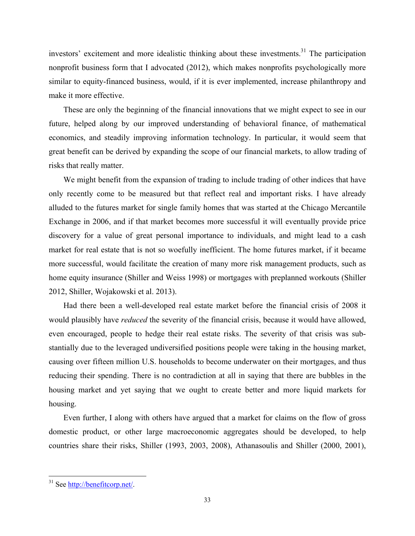investors' excitement and more idealistic thinking about these investments.<sup>31</sup> The participation nonprofit business form that I advocated (2012), which makes nonprofits psychologically more similar to equity-financed business, would, if it is ever implemented, increase philanthropy and make it more effective.

These are only the beginning of the financial innovations that we might expect to see in our future, helped along by our improved understanding of behavioral finance, of mathematical economics, and steadily improving information technology. In particular, it would seem that great benefit can be derived by expanding the scope of our financial markets, to allow trading of risks that really matter.

We might benefit from the expansion of trading to include trading of other indices that have only recently come to be measured but that reflect real and important risks. I have already alluded to the futures market for single family homes that was started at the Chicago Mercantile Exchange in 2006, and if that market becomes more successful it will eventually provide price discovery for a value of great personal importance to individuals, and might lead to a cash market for real estate that is not so woefully inefficient. The home futures market, if it became more successful, would facilitate the creation of many more risk management products, such as home equity insurance (Shiller and Weiss 1998) or mortgages with preplanned workouts (Shiller 2012, Shiller, Wojakowski et al. 2013).

Had there been a well-developed real estate market before the financial crisis of 2008 it would plausibly have *reduced* the severity of the financial crisis, because it would have allowed, even encouraged, people to hedge their real estate risks. The severity of that crisis was substantially due to the leveraged undiversified positions people were taking in the housing market, causing over fifteen million U.S. households to become underwater on their mortgages, and thus reducing their spending. There is no contradiction at all in saying that there are bubbles in the housing market and yet saying that we ought to create better and more liquid markets for housing.

Even further, I along with others have argued that a market for claims on the flow of gross domestic product, or other large macroeconomic aggregates should be developed, to help countries share their risks, Shiller (1993, 2003, 2008), Athanasoulis and Shiller (2000, 2001),

<sup>&</sup>lt;sup>31</sup> See http://benefitcorp.net/.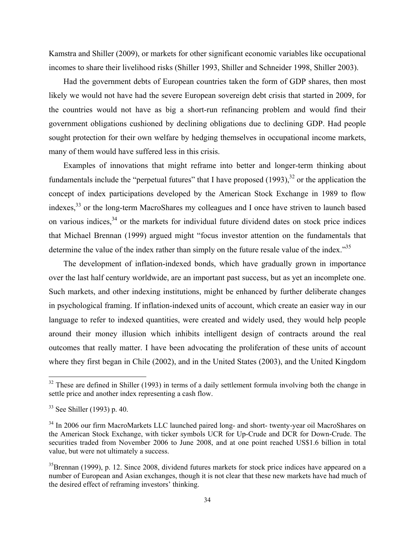Kamstra and Shiller (2009), or markets for other significant economic variables like occupational incomes to share their livelihood risks (Shiller 1993, Shiller and Schneider 1998, Shiller 2003).

Had the government debts of European countries taken the form of GDP shares, then most likely we would not have had the severe European sovereign debt crisis that started in 2009, for the countries would not have as big a short-run refinancing problem and would find their government obligations cushioned by declining obligations due to declining GDP. Had people sought protection for their own welfare by hedging themselves in occupational income markets, many of them would have suffered less in this crisis.

Examples of innovations that might reframe into better and longer-term thinking about fundamentals include the "perpetual futures" that I have proposed  $(1993)^{32}$  or the application the concept of index participations developed by the American Stock Exchange in 1989 to flow indexes,<sup>33</sup> or the long-term MacroShares my colleagues and I once have striven to launch based on various indices, $34$  or the markets for individual future dividend dates on stock price indices that Michael Brennan (1999) argued might "focus investor attention on the fundamentals that determine the value of the index rather than simply on the future resale value of the index."<sup>35</sup>

The development of inflation-indexed bonds, which have gradually grown in importance over the last half century worldwide, are an important past success, but as yet an incomplete one. Such markets, and other indexing institutions, might be enhanced by further deliberate changes in psychological framing. If inflation-indexed units of account, which create an easier way in our language to refer to indexed quantities, were created and widely used, they would help people around their money illusion which inhibits intelligent design of contracts around the real outcomes that really matter. I have been advocating the proliferation of these units of account where they first began in Chile (2002), and in the United States (2003), and the United Kingdom

 $32$  These are defined in Shiller (1993) in terms of a daily settlement formula involving both the change in settle price and another index representing a cash flow.

<sup>33</sup> See Shiller (1993) p. 40.

<sup>&</sup>lt;sup>34</sup> In 2006 our firm MacroMarkets LLC launched paired long- and short- twenty-year oil MacroShares on the American Stock Exchange, with ticker symbols UCR for Up-Crude and DCR for Down-Crude. The securities traded from November 2006 to June 2008, and at one point reached US\$1.6 billion in total value, but were not ultimately a success.

 $35$ Brennan (1999), p. 12. Since 2008, dividend futures markets for stock price indices have appeared on a number of European and Asian exchanges, though it is not clear that these new markets have had much of the desired effect of reframing investors' thinking.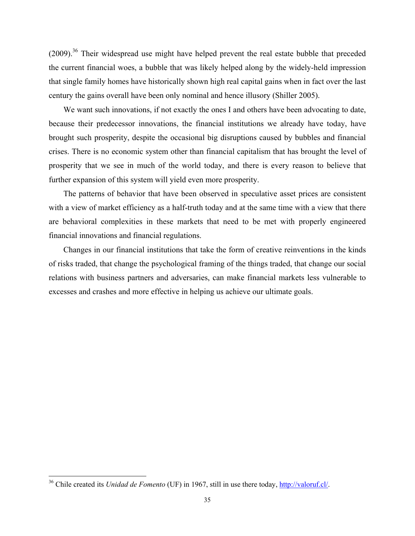(2009).<sup>36</sup> Their widespread use might have helped prevent the real estate bubble that preceded the current financial woes, a bubble that was likely helped along by the widely-held impression that single family homes have historically shown high real capital gains when in fact over the last century the gains overall have been only nominal and hence illusory (Shiller 2005).

We want such innovations, if not exactly the ones I and others have been advocating to date, because their predecessor innovations, the financial institutions we already have today, have brought such prosperity, despite the occasional big disruptions caused by bubbles and financial crises. There is no economic system other than financial capitalism that has brought the level of prosperity that we see in much of the world today, and there is every reason to believe that further expansion of this system will yield even more prosperity.

The patterns of behavior that have been observed in speculative asset prices are consistent with a view of market efficiency as a half-truth today and at the same time with a view that there are behavioral complexities in these markets that need to be met with properly engineered financial innovations and financial regulations.

Changes in our financial institutions that take the form of creative reinventions in the kinds of risks traded, that change the psychological framing of the things traded, that change our social relations with business partners and adversaries, can make financial markets less vulnerable to excesses and crashes and more effective in helping us achieve our ultimate goals.

<u>.</u>

<sup>36</sup> Chile created its *Unidad de Fomento* (UF) in 1967, still in use there today, http://valoruf.cl/.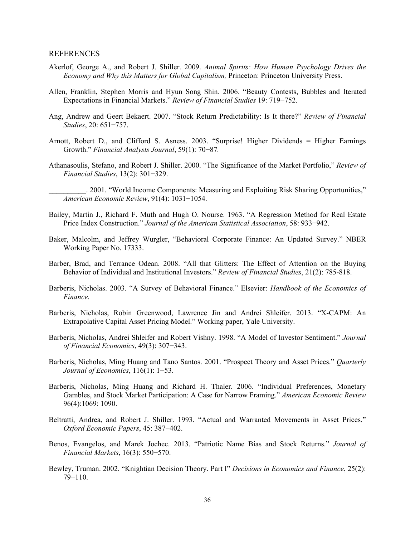#### **REFERENCES**

- Akerlof, George A., and Robert J. Shiller. 2009. *Animal Spirits: How Human Psychology Drives the Economy and Why this Matters for Global Capitalism,* Princeton: Princeton University Press.
- Allen, Franklin, Stephen Morris and Hyun Song Shin. 2006. "Beauty Contests, Bubbles and Iterated Expectations in Financial Markets." *Review of Financial Studies* 19: 719−752.
- Ang, Andrew and Geert Bekaert. 2007. "Stock Return Predictability: Is It there?" *Review of Financial Studies*, 20: 651−757.
- Arnott, Robert D., and Clifford S. Asness. 2003. "Surprise! Higher Dividends = Higher Earnings Growth." *Financial Analysts Journal*, 59(1): 70−87*.*
- Athanasoulis, Stefano, and Robert J. Shiller. 2000. "The Significance of the Market Portfolio," *Review of Financial Studies*, 13(2): 301−329.
- . 2001. "World Income Components: Measuring and Exploiting Risk Sharing Opportunities," *American Economic Review*, 91(4): 1031−1054.
- Bailey, Martin J., Richard F. Muth and Hugh O. Nourse. 1963. "A Regression Method for Real Estate Price Index Construction." *Journal of the American Statistical Association*, 58: 933−942.
- Baker, Malcolm, and Jeffrey Wurgler, "Behavioral Corporate Finance: An Updated Survey." NBER Working Paper No. 17333.
- Barber, Brad, and Terrance Odean. 2008. "All that Glitters: The Effect of Attention on the Buying Behavior of Individual and Institutional Investors." *Review of Financial Studies*, 21(2): 785-818.
- Barberis, Nicholas. 2003. "A Survey of Behavioral Finance." Elsevier: *Handbook of the Economics of Finance.*
- Barberis, Nicholas, Robin Greenwood, Lawrence Jin and Andrei Shleifer. 2013. "X-CAPM: An Extrapolative Capital Asset Pricing Model." Working paper, Yale University.
- Barberis, Nicholas, Andrei Shleifer and Robert Vishny. 1998. "A Model of Investor Sentiment." *Journal of Financial Economics*, 49(3): 307−343.
- Barberis, Nicholas, Ming Huang and Tano Santos. 2001. "Prospect Theory and Asset Prices." *Quarterly Journal of Economics*, 116(1): 1−53.
- Barberis, Nicholas, Ming Huang and Richard H. Thaler. 2006. "Individual Preferences, Monetary Gambles, and Stock Market Participation: A Case for Narrow Framing." *American Economic Review*  96(4):1069: 1090.
- Beltratti, Andrea, and Robert J. Shiller. 1993. "Actual and Warranted Movements in Asset Prices." *Oxford Economic Papers*, 45: 387−402.
- Benos, Evangelos, and Marek Jochec. 2013. "Patriotic Name Bias and Stock Returns." *Journal of Financial Markets*, 16(3): 550−570.
- Bewley, Truman. 2002. "Knightian Decision Theory. Part I" *Decisions in Economics and Finance*, 25(2): 79−110.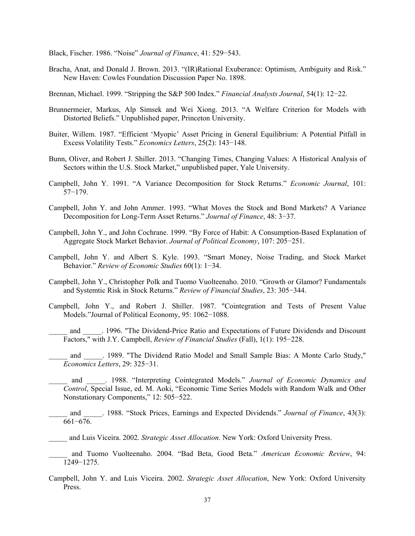Black, Fischer. 1986. "Noise" *Journal of Finance*, 41: 529−543.

Bracha, Anat, and Donald J. Brown. 2013. "(IR)Rational Exuberance: Optimism, Ambiguity and Risk." New Haven: Cowles Foundation Discussion Paper No. 1898.

Brennan, Michael. 1999. "Stripping the S&P 500 Index." *Financial Analysts Journal*, 54(1): 12−22.

- Brunnermeier, Markus, Alp Simsek and Wei Xiong. 2013. "A Welfare Criterion for Models with Distorted Beliefs." Unpublished paper, Princeton University.
- Buiter, Willem. 1987. "Efficient 'Myopic' Asset Pricing in General Equilibrium: A Potential Pitfall in Excess Volatility Tests." *Economics Letters*, 25(2): 143−148.
- Bunn, Oliver, and Robert J. Shiller. 2013. "Changing Times, Changing Values: A Historical Analysis of Sectors within the U.S. Stock Market," unpublished paper, Yale University.
- Campbell, John Y. 1991. "A Variance Decomposition for Stock Returns." *Economic Journal*, 101: 57−179.
- Campbell, John Y. and John Ammer. 1993. "What Moves the Stock and Bond Markets? A Variance Decomposition for Long-Term Asset Returns." *Journal of Finance*, 48: 3−37.
- Campbell, John Y., and John Cochrane. 1999. "By Force of Habit: A Consumption-Based Explanation of Aggregate Stock Market Behavior. *Journal of Political Economy*, 107: 205−251.
- Campbell, John Y. and Albert S. Kyle. 1993. "Smart Money, Noise Trading, and Stock Market Behavior." *Review of Economic Studies* 60(1): 1−34.
- Campbell, John Y., Christopher Polk and Tuomo Vuolteenaho. 2010. "Growth or Glamor? Fundamentals and Systemtic Risk in Stock Returns." *Review of Financial Studies*, 23: 305−344.
- Campbell, John Y., and Robert J. Shiller. 1987. "Cointegration and Tests of Present Value Models."Journal of Political Economy, 95: 1062−1088.

and  $\qquad$ . 1996. "The Dividend-Price Ratio and Expectations of Future Dividends and Discount Factors," with J.Y. Campbell, *Review of Financial Studies* (Fall), 1(1): 195−228.

and  $\qquad$  . 1989. "The Dividend Ratio Model and Small Sample Bias: A Monte Carlo Study," *Economics Letters*, 29: 325−31.

\_\_\_\_\_ and \_\_\_\_\_. 1988. "Interpreting Cointegrated Models." *Journal of Economic Dynamics and Control*, Special Issue, ed. M. Aoki, "Economic Time Series Models with Random Walk and Other Nonstationary Components," 12: 505−522.

\_\_\_\_\_ and \_\_\_\_\_. 1988. "Stock Prices, Earnings and Expected Dividends." *Journal of Finance*, 43(3): 661−676.

\_\_\_\_\_ and Luis Viceira. 2002. *Strategic Asset Allocation.* New York: Oxford University Press.

- \_\_\_\_\_ and Tuomo Vuolteenaho. 2004. "Bad Beta, Good Beta." *American Economic Review*, 94: 1249−1275.
- Campbell, John Y. and Luis Viceira. 2002. *Strategic Asset Allocation*, New York: Oxford University Press.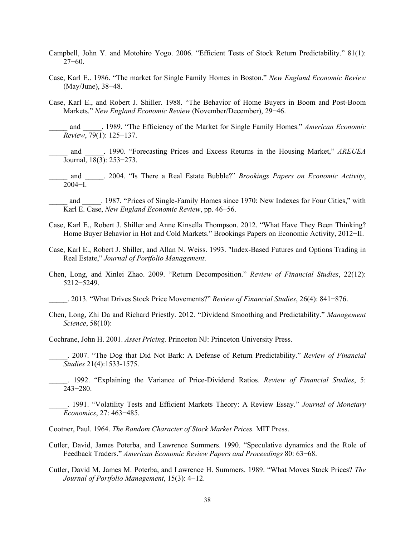- Campbell, John Y. and Motohiro Yogo. 2006. "Efficient Tests of Stock Return Predictability." 81(1): 27−60.
- Case, Karl E.. 1986. "The market for Single Family Homes in Boston." *New England Economic Review* (May/June), 38−48.
- Case, Karl E., and Robert J. Shiller. 1988. "The Behavior of Home Buyers in Boom and Post-Boom Markets." *New England Economic Review* (November/December), 29−46.

\_\_\_\_\_ and \_\_\_\_\_. 1989. "The Efficiency of the Market for Single Family Homes." *American Economic Review*, 79(1): 125−137.

- \_\_\_\_\_ and \_\_\_\_\_. 1990. "Forecasting Prices and Excess Returns in the Housing Market," *AREUEA*  Journal, 18(3): 253−273.
- \_\_\_\_\_ and \_\_\_\_\_. 2004. "Is There a Real Estate Bubble?" *Brookings Papers on Economic Activity*, 2004−I.

and 1987. "Prices of Single-Family Homes since 1970: New Indexes for Four Cities," with Karl E. Case, *New England Economic Review*, pp. 46−56.

- Case, Karl E., Robert J. Shiller and Anne Kinsella Thompson. 2012. "What Have They Been Thinking? Home Buyer Behavior in Hot and Cold Markets." Brookings Papers on Economic Activity, 2012−II.
- Case, Karl E., Robert J. Shiller, and Allan N. Weiss. 1993. "Index-Based Futures and Options Trading in Real Estate," *Journal of Portfolio Management*.
- Chen, Long, and Xinlei Zhao. 2009. "Return Decomposition." *Review of Financial Studies*, 22(12): 5212−5249.
	- \_\_\_\_\_. 2013. "What Drives Stock Price Movements?" *Review of Financial Studies*, 26(4): 841−876.
- Chen, Long, Zhi Da and Richard Priestly. 2012. "Dividend Smoothing and Predictability." *Management Science*, 58(10):

Cochrane, John H. 2001. *Asset Pricing.* Princeton NJ: Princeton University Press.

- \_\_\_\_\_. 2007. "The Dog that Did Not Bark: A Defense of Return Predictability." *Review of Financial Studies* 21(4):1533-1575.
- \_\_\_\_\_. 1992. "Explaining the Variance of Price-Dividend Ratios. *Review of Financial Studies*, 5: 243−280.
- \_\_\_\_\_. 1991. "Volatility Tests and Efficient Markets Theory: A Review Essay." *Journal of Monetary Economics*, 27: 463−485.

Cootner, Paul. 1964. *The Random Character of Stock Market Prices.* MIT Press.

- Cutler, David, James Poterba, and Lawrence Summers. 1990. "Speculative dynamics and the Role of Feedback Traders." *American Economic Review Papers and Proceedings* 80: 63−68.
- Cutler, David M, James M. Poterba, and Lawrence H. Summers. 1989. "What Moves Stock Prices? *The Journal of Portfolio Management*, 15(3): 4−12.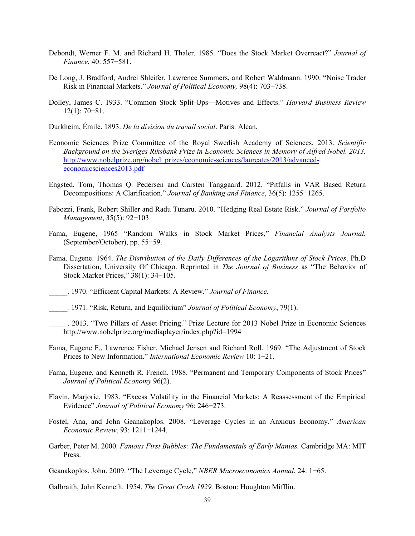- Debondt, Werner F. M. and Richard H. Thaler. 1985. "Does the Stock Market Overreact?" *Journal of Finance*, 40: 557−581.
- De Long, J. Bradford, Andrei Shleifer, Lawrence Summers, and Robert Waldmann. 1990. "Noise Trader Risk in Financial Markets." *Journal of Political Economy,* 98(4): 703−738.
- Dolley, James C. 1933. "Common Stock Split-Ups—Motives and Effects." *Harvard Business Review*  12(1): 70−81.
- Durkheim, Émile. 1893. *De la division du travail social*. Paris: Alcan.
- Economic Sciences Prize Committee of the Royal Swedish Academy of Sciences. 2013. *Scientific Background on the Sveriges Riksbank Prize in Economic Sciences in Memory of Alfred Nobel. 2013.* http://www.nobelprize.org/nobel\_prizes/economic-sciences/laureates/2013/advancedeconomicsciences2013.pdf
- Engsted, Tom, Thomas Q. Pedersen and Carsten Tanggaard. 2012. "Pitfalls in VAR Based Return Decompositions: A Clarification." *Journal of Banking and Finance*, 36(5): 1255−1265.
- Fabozzi, Frank, Robert Shiller and Radu Tunaru. 2010. "Hedging Real Estate Risk." *Journal of Portfolio Management*, 35(5): 92−103
- Fama, Eugene, 1965 "Random Walks in Stock Market Prices," *Financial Analysts Journal.*  (September/October), pp. 55−59.
- Fama, Eugene. 1964. *The Distribution of the Daily Differences of the Logarithms of Stock Prices*. Ph.D Dissertation, University Of Chicago. Reprinted in *The Journal of Business* as "The Behavior of Stock Market Prices," 38(1): 34−105.
- \_\_\_\_\_. 1970. "Efficient Capital Markets: A Review." *Journal of Finance.*
- *\_\_\_\_\_.* 1971. "Risk, Return, and Equilibrium" *Journal of Political Economy*, 79(1).
- \_\_\_\_\_. 2013. "Two Pillars of Asset Pricing." Prize Lecture for 2013 Nobel Prize in Economic Sciences http://www.nobelprize.org/mediaplayer/index.php?id=1994
- Fama, Eugene F., Lawrence Fisher, Michael Jensen and Richard Roll. 1969. "The Adjustment of Stock Prices to New Information." *International Economic Review* 10: 1−21.
- Fama, Eugene, and Kenneth R. French. 1988. "Permanent and Temporary Components of Stock Prices" *Journal of Political Economy* 96(2).
- Flavin, Marjorie. 1983. "Excess Volatility in the Financial Markets: A Reassessment of the Empirical Evidence" *Journal of Political Economy* 96: 246−273.
- Fostel, Ana, and John Geanakoplos. 2008. "Leverage Cycles in an Anxious Economy." *American Economic Review*, 93: 1211−1244.
- Garber, Peter M. 2000. *Famous First Bubbles: The Fundamentals of Early Manias.* Cambridge MA: MIT Press.
- Geanakoplos, John. 2009. "The Leverage Cycle," *NBER Macroeconomics Annual*, 24: 1−65.

Galbraith, John Kenneth. 1954. *The Great Crash 1929.* Boston: Houghton Mifflin.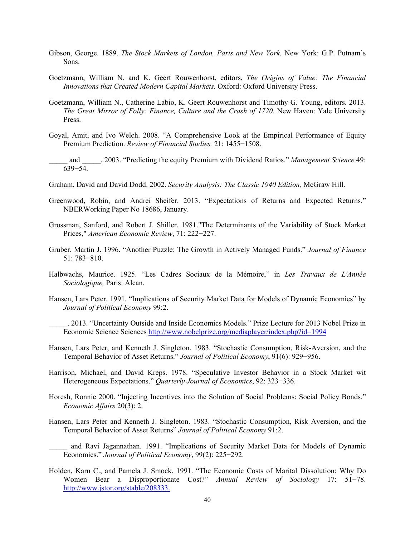- Gibson, George. 1889. *The Stock Markets of London, Paris and New York.* New York: G.P. Putnam's Sons.
- Goetzmann, William N. and K. Geert Rouwenhorst, editors, *The Origins of Value: The Financial Innovations that Created Modern Capital Markets.* Oxford: Oxford University Press.
- Goetzmann, William N., Catherine Labio, K. Geert Rouwenhorst and Timothy G. Young, editors. 2013. *The Great Mirror of Folly: Finance, Culture and the Crash of 1720.* New Haven: Yale University Press.
- Goyal, Amit, and Ivo Welch. 2008. "A Comprehensive Look at the Empirical Performance of Equity Premium Prediction. *Review of Financial Studies.* 21: 1455−1508.
- \_\_\_\_\_ and \_\_\_\_\_. 2003. "Predicting the equity Premium with Dividend Ratios." *Management Science* 49: 639−54.
- Graham, David and David Dodd. 2002. *Security Analysis: The Classic 1940 Edition,* McGraw Hill.
- Greenwood, Robin, and Andrei Sheifer. 2013. "Expectations of Returns and Expected Returns." NBERWorking Paper No 18686, January.
- Grossman, Sanford, and Robert J. Shiller. 1981."The Determinants of the Variability of Stock Market Prices," *American Economic Review*, 71: 222−227.
- Gruber, Martin J. 1996. "Another Puzzle: The Growth in Actively Managed Funds." *Journal of Finance* 51: 783−810.
- Halbwachs, Maurice. 1925. "Les Cadres Sociaux de la Mémoire," in *Les Travaux de L'Année Sociologique,* Paris: Alcan.
- Hansen, Lars Peter. 1991. "Implications of Security Market Data for Models of Dynamic Economies" by *Journal of Political Economy* 99:2.
- \_\_\_\_\_. 2013. "Uncertainty Outside and Inside Economics Models." Prize Lecture for 2013 Nobel Prize in Economic Science Sciences http://www.nobelprize.org/mediaplayer/index.php?id=1994
- Hansen, Lars Peter, and Kenneth J. Singleton. 1983. "Stochastic Consumption, Risk-Aversion, and the Temporal Behavior of Asset Returns." *Journal of Political Economy*, 91(6): 929−956.
- Harrison, Michael, and David Kreps. 1978. "Speculative Investor Behavior in a Stock Market wit Heterogeneous Expectations." *Quarterly Journal of Economics*, 92: 323−336.
- Horesh, Ronnie 2000. "Injecting Incentives into the Solution of Social Problems: Social Policy Bonds." *Economic Affairs* 20(3): 2.
- Hansen, Lars Peter and Kenneth J. Singleton. 1983. "Stochastic Consumption, Risk Aversion, and the Temporal Behavior of Asset Returns" *Journal of Political Economy* 91:2.
	- and Ravi Jagannathan. 1991. "Implications of Security Market Data for Models of Dynamic Economies." *Journal of Political Economy*, 99(2): 225−292.
- Holden, Karn C., and Pamela J. Smock. 1991. "The Economic Costs of Marital Dissolution: Why Do Women Bear a Disproportionate Cost?" *Annual Review of Sociology* 17: 51−78. http://www.jstor.org/stable/208333.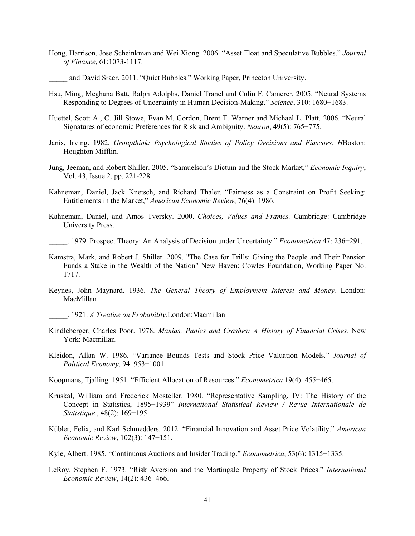- Hong, Harrison, Jose Scheinkman and Wei Xiong. 2006. "Asset Float and Speculative Bubbles." *Journal of Finance*, 61:1073-1117.
	- \_\_\_\_\_ and David Sraer. 2011. "Quiet Bubbles." Working Paper, Princeton University.
- Hsu, Ming, Meghana Batt, Ralph Adolphs, Daniel Tranel and Colin F. Camerer. 2005. "Neural Systems Responding to Degrees of Uncertainty in Human Decision-Making." *Science*, 310: 1680−1683.
- Huettel, Scott A., C. Jill Stowe, Evan M. Gordon, Brent T. Warner and Michael L. Platt. 2006. "Neural Signatures of economic Preferences for Risk and Ambiguity. *Neuron*, 49(5): 765−775.
- Janis, Irving. 1982. *Groupthink: Psychological Studies of Policy Decisions and Fiascoes. H*Boston: Houghton Mifflin*.*
- Jung, Jeeman, and Robert Shiller. 2005. "Samuelson's Dictum and the Stock Market," *Economic Inquiry*, Vol. 43, Issue 2, pp. 221-228.
- Kahneman, Daniel, Jack Knetsch, and Richard Thaler, "Fairness as a Constraint on Profit Seeking: Entitlements in the Market," *American Economic Review*, 76(4): 1986.
- Kahneman, Daniel, and Amos Tversky. 2000. *Choices, Values and Frames.* Cambridge: Cambridge University Press.
- \_\_\_\_\_. 1979. Prospect Theory: An Analysis of Decision under Uncertainty." *Econometrica* 47: 236−291.
- Kamstra, Mark, and Robert J. Shiller. 2009. "The Case for Trills: Giving the People and Their Pension Funds a Stake in the Wealth of the Nation" New Haven: Cowles Foundation, Working Paper No. 1717.
- Keynes, John Maynard. 1936. *The General Theory of Employment Interest and Money.* London: MacMillan
	- \_\_\_\_\_. 1921. *A Treatise on Probability.*London:Macmillan
- Kindleberger, Charles Poor. 1978. *Manias, Panics and Crashes: A History of Financial Crises.* New York: Macmillan.
- Kleidon, Allan W. 1986. "Variance Bounds Tests and Stock Price Valuation Models." *Journal of Political Economy*, 94: 953−1001.
- Koopmans, Tjalling. 1951. "Efficient Allocation of Resources." *Econometrica* 19(4): 455−465.
- Kruskal, William and Frederick Mosteller. 1980. "Representative Sampling, IV: The History of the Concept in Statistics, 1895−1939" *International Statistical Review / Revue Internationale de Statistique* , 48(2): 169−195.
- Kübler, Felix, and Karl Schmedders. 2012. "Financial Innovation and Asset Price Volatility." *American Economic Review*, 102(3): 147−151.
- Kyle, Albert. 1985. "Continuous Auctions and Insider Trading." *Econometrica*, 53(6): 1315−1335.
- LeRoy, Stephen F. 1973. "Risk Aversion and the Martingale Property of Stock Prices." *International Economic Review*, 14(2): 436−466.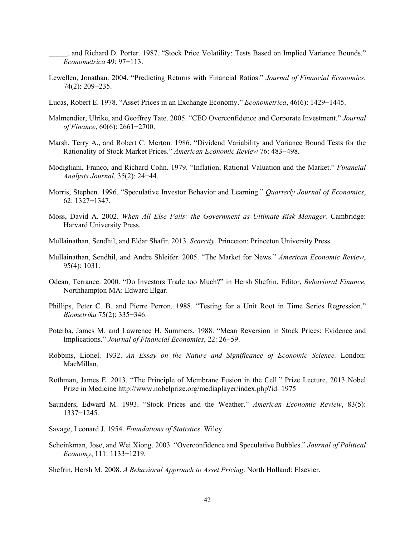\_\_\_\_\_. and Richard D. Porter. 1987. "Stock Price Volatility: Tests Based on Implied Variance Bounds." *Econometrica* 49: 97−113.

- Lewellen, Jonathan. 2004. "Predicting Returns with Financial Ratios." *Journal of Financial Economics.*  74(2): 209−235.
- Lucas, Robert E. 1978. "Asset Prices in an Exchange Economy." *Econometrica*, 46(6): 1429−1445.
- Malmendier, Ulrike, and Geoffrey Tate. 2005. "CEO Overconfidence and Corporate Investment." *Journal of Finance*, 60(6): 2661−2700.
- Marsh, Terry A., and Robert C. Merton. 1986. "Dividend Variability and Variance Bound Tests for the Rationality of Stock Market Prices." *American Economic Review* 76: 483−498.
- Modigliani, Franco, and Richard Cohn. 1979. "Inflation, Rational Valuation and the Market." *Financial Analysts Journal*, 35(2): 24−44.
- Morris, Stephen. 1996. "Speculative Investor Behavior and Learning." *Quarterly Journal of Economics*, 62: 1327−1347.
- Moss, David A. 2002. *When All Else Fails: the Government as Ultimate Risk Manager.* Cambridge: Harvard University Press.
- Mullainathan, Sendhil, and Eldar Shafir. 2013. *Scarcity*. Princeton: Princeton University Press.
- Mullainathan, Sendhil, and Andre Shleifer. 2005. "The Market for News." *American Economic Review*, 95(4): 1031.
- Odean, Terrance. 2000. "Do Investors Trade too Much?" in Hersh Shefrin, Editor, *Behavioral Finance*, Northhampton MA: Edward Elgar.
- Phillips, Peter C. B. and Pierre Perron. 1988. "Testing for a Unit Root in Time Series Regression." *Biometrika* 75(2): 335−346.
- Poterba, James M. and Lawrence H. Summers. 1988. "Mean Reversion in Stock Prices: Evidence and Implications." *Journal of Financial Economics*, 22: 26−59.
- Robbins, Lionel. 1932. *An Essay on the Nature and Significance of Economic Science.* London: MacMillan.
- Rothman, James E. 2013. "The Principle of Membrane Fusion in the Cell." Prize Lecture, 2013 Nobel Prize in Medicine http://www.nobelprize.org/mediaplayer/index.php?id=1975
- Saunders, Edward M. 1993. "Stock Prices and the Weather." *American Economic Review*, 83(5): 1337−1245.
- Savage, Leonard J. 1954. *Foundations of Statistics*. Wiley.
- Scheinkman, Jose, and Wei Xiong. 2003. "Overconfidence and Speculative Bubbles." *Journal of Political Economy*, 111: 1133−1219.

Shefrin, Hersh M. 2008. *A Behavioral Approach to Asset Pricing*. North Holland: Elsevier.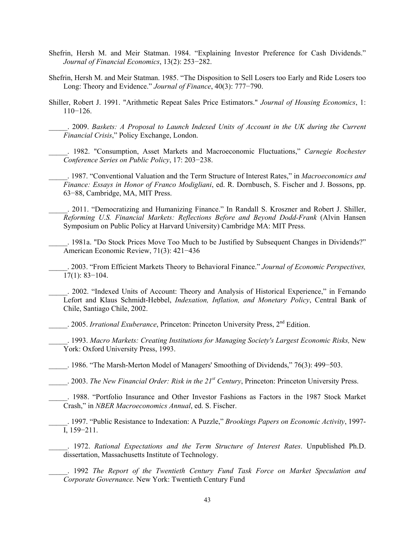- Shefrin, Hersh M. and Meir Statman. 1984. "Explaining Investor Preference for Cash Dividends." *Journal of Financial Economics*, 13(2): 253−282.
- Shefrin, Hersh M. and Meir Statman. 1985. "The Disposition to Sell Losers too Early and Ride Losers too Long: Theory and Evidence." *Journal of Finance*, 40(3): 777−790.
- Shiller, Robert J. 1991. "Arithmetic Repeat Sales Price Estimators." *Journal of Housing Economics*, 1: 110−126.

\_\_\_\_\_. 2009. *Baskets: A Proposal to Launch Indexed Units of Account in the UK during the Current Financial Crisis*," Policy Exchange, London.

- \_\_\_\_\_. 1982. "Consumption, Asset Markets and Macroeconomic Fluctuations," *Carnegie Rochester Conference Series on Public Policy*, 17: 203−238.
- \_\_\_\_\_. 1987. "Conventional Valuation and the Term Structure of Interest Rates," in *Macroeconomics and Finance: Essays in Honor of Franco Modigliani*, ed. R. Dornbusch, S. Fischer and J. Bossons, pp. 63−88, Cambridge, MA, MIT Press.
- \_\_\_\_\_. 2011. "Democratizing and Humanizing Finance." In Randall S. Kroszner and Robert J. Shiller, *Reforming U.S. Financial Markets: Reflections Before and Beyond Dodd-Frank* (Alvin Hansen Symposium on Public Policy at Harvard University) Cambridge MA: MIT Press.

\_\_\_\_\_. 1981a. "Do Stock Prices Move Too Much to be Justified by Subsequent Changes in Dividends?" American Economic Review, 71(3): 421−436

\_\_\_\_\_. 2003. "From Efficient Markets Theory to Behavioral Finance." *Journal of Economic Perspectives,* 17(1): 83−104.

\_\_\_\_\_. 2002. "Indexed Units of Account: Theory and Analysis of Historical Experience," in Fernando Lefort and Klaus Schmidt-Hebbel, *Indexation, Inflation, and Monetary Policy*, Central Bank of Chile, Santiago Chile, 2002.

\_\_\_\_\_. 2005. *Irrational Exuberance*, Princeton: Princeton University Press, 2nd Edition.

\_\_\_\_\_. 1993. *Macro Markets: Creating Institutions for Managing Society's Largest Economic Risks,* New York: Oxford University Press, 1993.

\_\_\_\_\_. 1986. "The Marsh-Merton Model of Managers' Smoothing of Dividends," 76(3): 499−503.

\_\_\_\_\_. 2003. *The New Financial Order: Risk in the 21st Century*, Princeton: Princeton University Press.

- \_\_\_\_\_. 1988. "Portfolio Insurance and Other Investor Fashions as Factors in the 1987 Stock Market Crash," in *NBER Macroeconomics Annual*, ed. S. Fischer.
- \_\_\_\_\_. 1997. "Public Resistance to Indexation: A Puzzle," *Brookings Papers on Economic Activity*, 1997- I, 159−211.
- \_\_\_\_\_. 1972. *Rational Expectations and the Term Structure of Interest Rates*. Unpublished Ph.D. dissertation, Massachusetts Institute of Technology.

\_\_\_\_\_. 1992 *The Report of the Twentieth Century Fund Task Force on Market Speculation and Corporate Governance.* New York: Twentieth Century Fund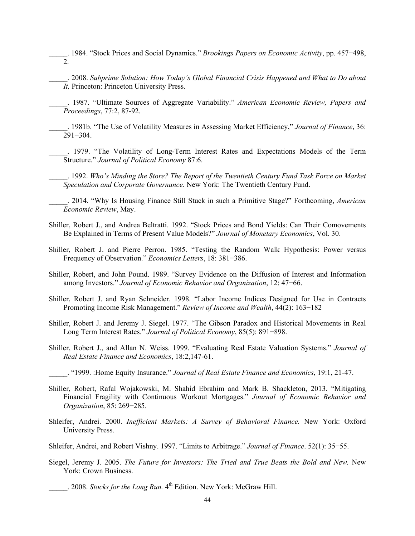\_\_\_\_\_. 1984. "Stock Prices and Social Dynamics." *Brookings Papers on Economic Activity*, pp. 457−498, 2.

- \_\_\_\_\_. 2008. *Subprime Solution: How Today's Global Financial Crisis Happened and What to Do about It,* Princeton: Princeton University Press.
- \_\_\_\_\_. 1987. "Ultimate Sources of Aggregate Variability." *American Economic Review, Papers and Proceedings*, 77:2, 87-92.
- \_\_\_\_\_. 1981b. "The Use of Volatility Measures in Assessing Market Efficiency," *Journal of Finance*, 36: 291−304.
	- \_\_\_\_\_. 1979. "The Volatility of Long-Term Interest Rates and Expectations Models of the Term Structure." *Journal of Political Economy* 87:6.
	- \_\_\_\_\_. 1992. *Who's Minding the Store? The Report of the Twentieth Century Fund Task Force on Market Speculation and Corporate Governance.* New York: The Twentieth Century Fund.
- \_\_\_\_\_. 2014. "Why Is Housing Finance Still Stuck in such a Primitive Stage?" Forthcoming, *American Economic Review*, May.
- Shiller, Robert J., and Andrea Beltratti. 1992. "Stock Prices and Bond Yields: Can Their Comovements Be Explained in Terms of Present Value Models?" *Journal of Monetary Economics*, Vol. 30.
- Shiller, Robert J. and Pierre Perron. 1985. "Testing the Random Walk Hypothesis: Power versus Frequency of Observation." *Economics Letters*, 18: 381−386.
- Shiller, Robert, and John Pound. 1989. "Survey Evidence on the Diffusion of Interest and Information among Investors." *Journal of Economic Behavior and Organization*, 12: 47−66.
- Shiller, Robert J. and Ryan Schneider. 1998. "Labor Income Indices Designed for Use in Contracts Promoting Income Risk Management." *Review of Income and Wealth*, 44(2): 163−182
- Shiller, Robert J. and Jeremy J. Siegel. 1977. "The Gibson Paradox and Historical Movements in Real Long Term Interest Rates." *Journal of Political Economy*, 85(5): 891−898.
- Shiller, Robert J., and Allan N. Weiss. 1999. "Evaluating Real Estate Valuation Systems." *Journal of Real Estate Finance and Economics*, 18:2,147-61.
	- \_\_\_\_\_. "1999. :Home Equity Insurance." *Journal of Real Estate Finance and Economics*, 19:1, 21-47.
- Shiller, Robert, Rafal Wojakowski, M. Shahid Ebrahim and Mark B. Shackleton, 2013. "Mitigating Financial Fragility with Continuous Workout Mortgages." *Journal of Economic Behavior and Organization*, 85: 269−285.
- Shleifer, Andrei. 2000. *Inefficient Markets: A Survey of Behavioral Finance.* New York: Oxford University Press.
- Shleifer, Andrei, and Robert Vishny. 1997. "Limits to Arbitrage." *Journal of Finance*. 52(1): 35−55.
- Siegel, Jeremy J. 2005. *The Future for Investors: The Tried and True Beats the Bold and New.* New York: Crown Business.

\_\_\_\_\_. 2008. *Stocks for the Long Run.* 4th Edition. New York: McGraw Hill.